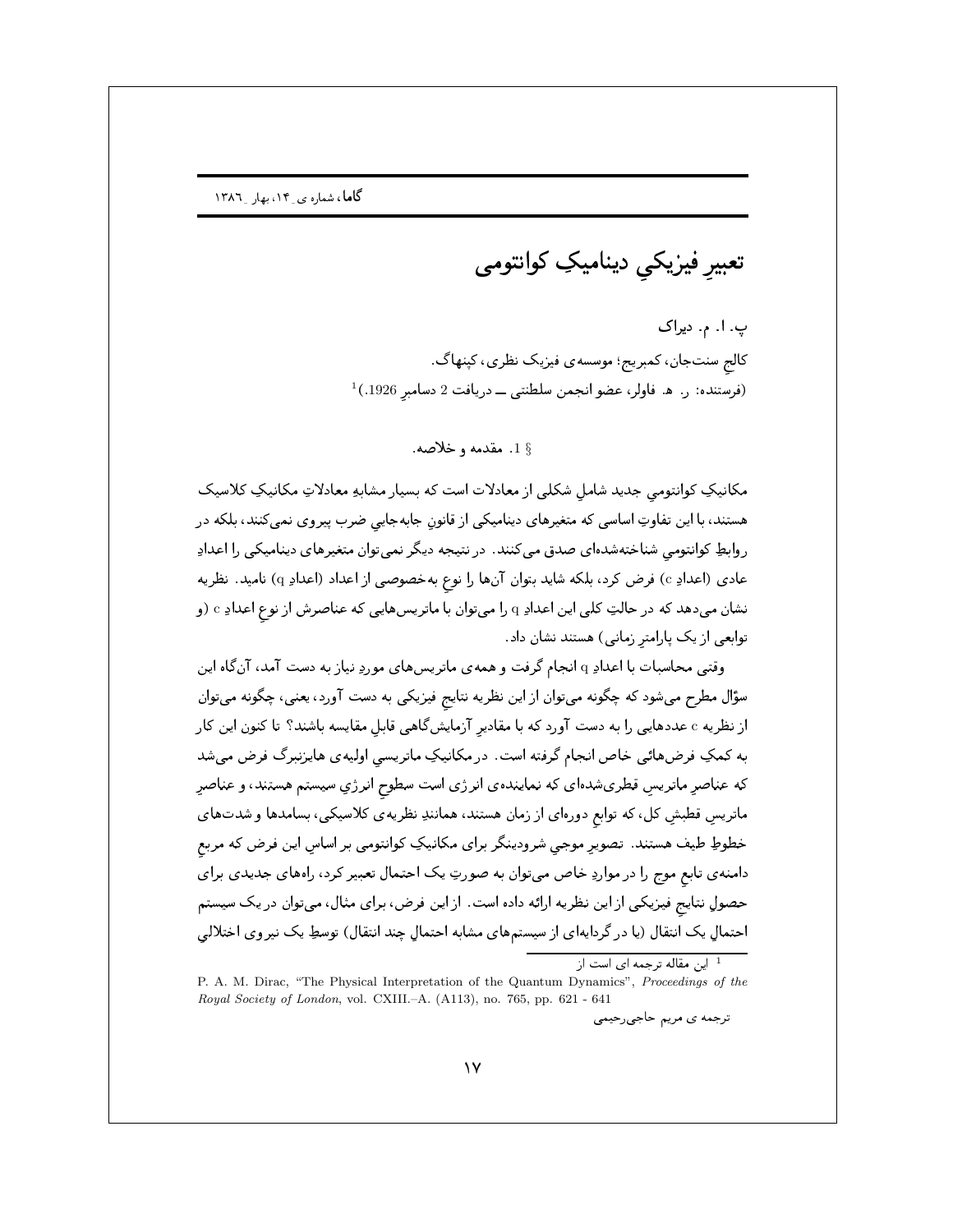تعبیرِ فیزیکی دینامیکِ کوانتومی

پ. ا. م. ديراک کالج سنتجان، کمبریج؛ موسسهی فیزیک نظری، کینهاگ.  $^{-1}$ (فرستنده: ر. ه. فاولر، عضو انجمن سلطنتي ــ دريافت 2 دسامبر 1926.)

18 مقدمه و خلاصه.

مکانیکِ کوانتومی جدید شامل شکلی از معادلات است که بسیار مشابهِ معادلاتِ مکانیکِ کلاسیک هستند، با این تفاوتِ اساسی که متغیرهای دینامیکی از قانونِ جابهجایی ضرب پیروی نمیکنند، بلکه در روابطِ کوانتومی شناختهشدهای صدق میکنند. در نتیجه دیگر نمیتوان متغیرهای دینامیکی را اعدادِ عادي (اعدادِ c) فرض كرد، بلكه شايد بتوان آنها را نوع بهخصوصي از اعداد (اعدادِ q) ناميد. نظريه نشان میدهد که در حالتِ کلی این اعدادِ q را میتوان با ماتریسهایی که عناصرش از نوع اعدادِ c (و توابعی از یک پارامتر زمانی) هستند نشان داد.

وقتبی محاسبات با اعدادِ q انجام گرفت و همهی ماتریسهای موردِ نیاز به دست آمد، آنگاه این سؤال مطرح میشود که چگونه میتوان از این نظریه نتایج فیزیکی به دست آورد، یعنی، چگونه میتوان از نظریه c عددهایی را به دست آورد که با مقادیر آزمایشگاهی قابل مقایسه باشند؟ تا کنون این کار به کمکِ فرضهائی خاص انجام گرفته است. در مکانیکِ ماتریسی اولیهی هایزنبرگ فرض میشد که عناصر ماتریس قطریشدهای که نمایندهی انرژی است سطوح انرژیِ سیستم هستند، و عناصر ماتریسِ قطبشِ کل، که توابع دورهای از زمان هستند، همانندِ نظریهی کلاسیکی، بسامدها و شدتهای خطوطِ طیف هستند. تصویر موجی شرودینگر برای مکانیکِ کوانتومی بر اساس این فرض که مربع دامنه ی تابع موج را در مواردِ خاص میتوان به صورتِ یک احتمال تعبیر کرد، راههای جدیدی برای حصولِ نتایج فیزیکی از این نظریه ارائه داده است. از این فرض، برای مثال، میتوان در یک سیستم احتمالِ یک انتقال (یا در گردایهای از سیستمهای مشابه احتمالِ چند انتقال) توسطِ یک نیروی اختلالی

<sup>1</sup> این مقاله ترجمه ای است از

P. A. M. Dirac, "The Physical Interpretation of the Quantum Dynamics", Proceedings of the Royal Society of London, vol. CXIII.-A. (A113), no. 765, pp. 621 - 641

ترجمه ي مريم حاجي رحيمي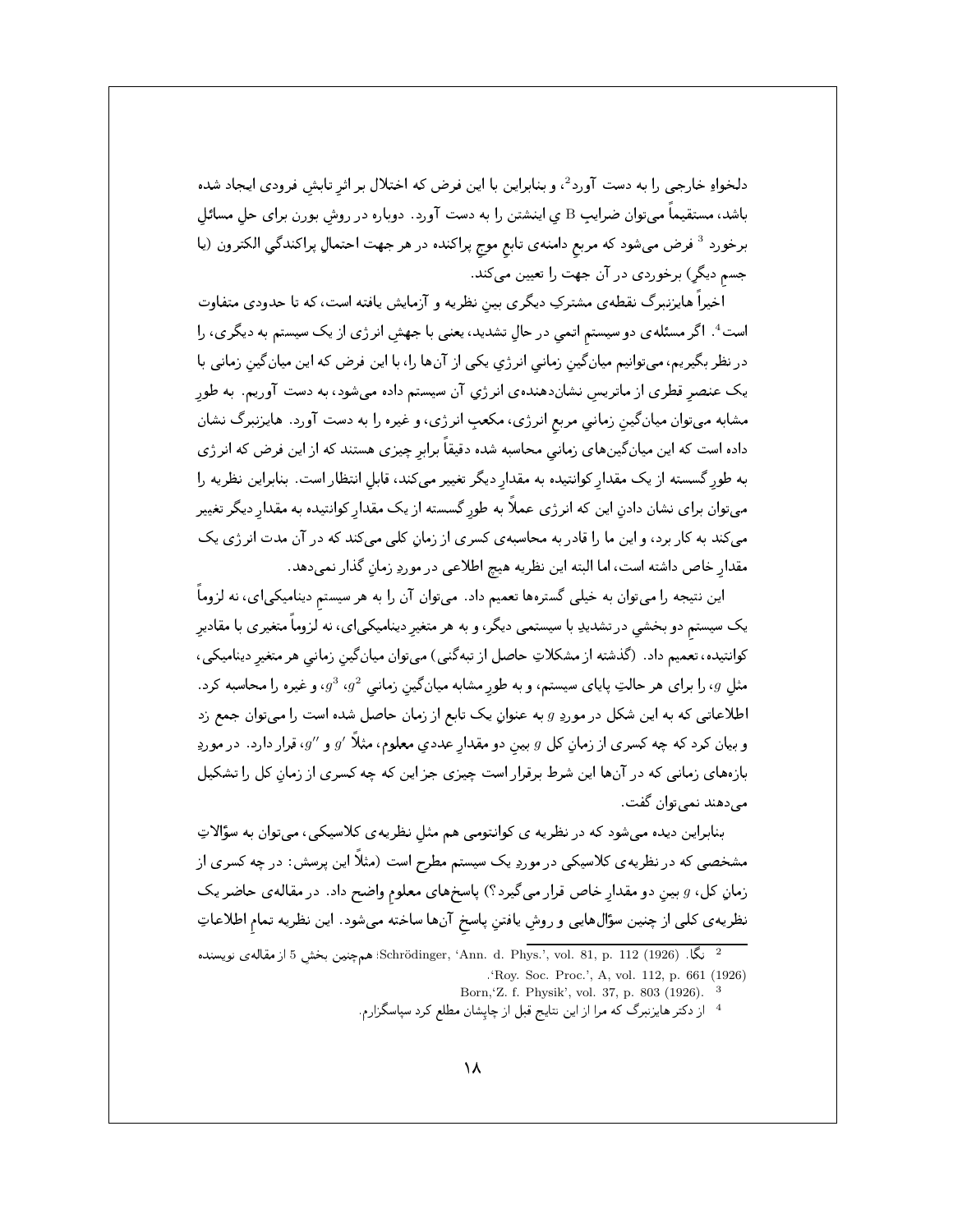دلخواهِ خارجي را به دست آورد<sup>2</sup>، و بنابراين با اين فرض كه اختلال بر اثر تابش فرودي ايجاد شده باشد، مستقیماً میتوان ضرایب B ی اینشتن را به دست آورد. دوباره در روش بورن برای حل مسائل برخورد <sup>3</sup> فرض میشود که مربع دامنه ی تابع موج پراکنده در هر جهت احتمالِ پراکندگی الکترون (یا جسم دیگر) برخوردی در آن جهت را تعیین میکند.

اخیراً هایزنبرگ نقطهی مشترکِ دیگری بین نظریه و آزمایش یافته است، که تا حدودی متفاوت است<sup>4</sup>. اگر مسئلهی دو سیستم اتمی در حال تشدید، یعنی با جهش انرژی از یک سیستم به دیگری، را در نظر بگیریم، میتوانیم میان گین زمانی انرژی یکی از آنها را، با این فرض که این میانگین زمانی با یک عنصر قطری از ماتریس نشاندهندهی انرژی آن سیستم داده میشود، به دست آوریم. به طور مشابه میتوان میان گین زمانی مربع انرژی، مکعبِ انرژی، و غیره را به دست آورد. هایزنبرگ نشان داده است که این میانگینهای زمانی محاسبه شده دقیقاً برابر چیزی هستند که از این فرض که انرژی به طور گسسته از یک مقدار کوانتیده به مقدار دیگر تغییر میکند، قابل انتظار است. بنابراین نظریه را میتوان برای نشان دادن این که انرژی عملاً به طور گسسته از یک مقدار کوانتیده به مقدار دیگر تغییر میکند به کار برد، و این ما را قادر به محاسبهی کسری از زمان کلبی میکند که در آن مدت انرژی یک مقدار خاص داشته است، اما البته اين نظريه هيچ اطلاعي در موردِ زمانِ گذار نميدهد.

این نتیجه را میتوان به خیلی گسترهها تعمیم داد. میتوان آن را به هر سیستم دینامیکیای، نه لزوماً یک سیستم دو بخشی در تشدیدِ با سیستمی دیگر، و به هر متغیر دینامیکیای، نه لزوماً متغیری با مقادیر کوانتیده، تعمیم داد. (گذشته از مشکلاتِ حاصل از تبهگنی) میتوان میانگین زمانی هر متغیر دینامیکی، مثل  $g$ ، را برای هر حالتِ پایای سیستم، و به طور مشابه میانگین زمانی  $g^2$ ،  $g^3$ ، و غیره را محاسبه کرد. اطلاعاتی که به این شکل در موردِ g به عنوان یک تابع از زمان حاصل شده است را میتوان جمع زد و بیان کرد که چه کسری از زمان کل  $g$  بین دو مقدار عددی معلوم، مثلاً ⁄ $g$  و  $g^{\prime}$ ، قرار دارد. در موردِ بازههای زمانی که در آنها این شرط برقرار است چیزی جز این که چه کسری از زمان کل را تشکیل مي دهند نمي توان گفت .

بنابراین دیده میشود که در نظریه ی کوانتومی هم مثل نظریهی کلاسیکی، میتوان به سؤالاتِ مشخصی که در نظریه ی کلاسیکی در موردِ یک سیستم مطرح است (مثلاً این پرسش: در چه کسری از زمانِ کل، g بينِ دو مقدارِ خاص قرار میگیرد؟) پاسخهای معلوم واضح داد. در مقالهی حاضر یک نظريه ي كلي از چنين سؤالهايي و روشِ يافتنِ پاسخ آنها ساخته مي شود. اين نظريه تمام اطلاعاتِ

- Born, Z. f. Physik', vol. 37, p. 803 (1926). <sup>3</sup>
- <sup>4</sup> از دکتر هایزنبرگ که مرا از این نتایج قبل از چاپشان مطلع کرد سپاسگزارم.

نگا. (1926) Schrödinger, 'Ann. d. Phys.', vol. 81, p. 112؛ همچنین بخش 5 از مقاله ی نویسنده 'Roy. Soc. Proc.', A, vol. 112, p. 661 (1926)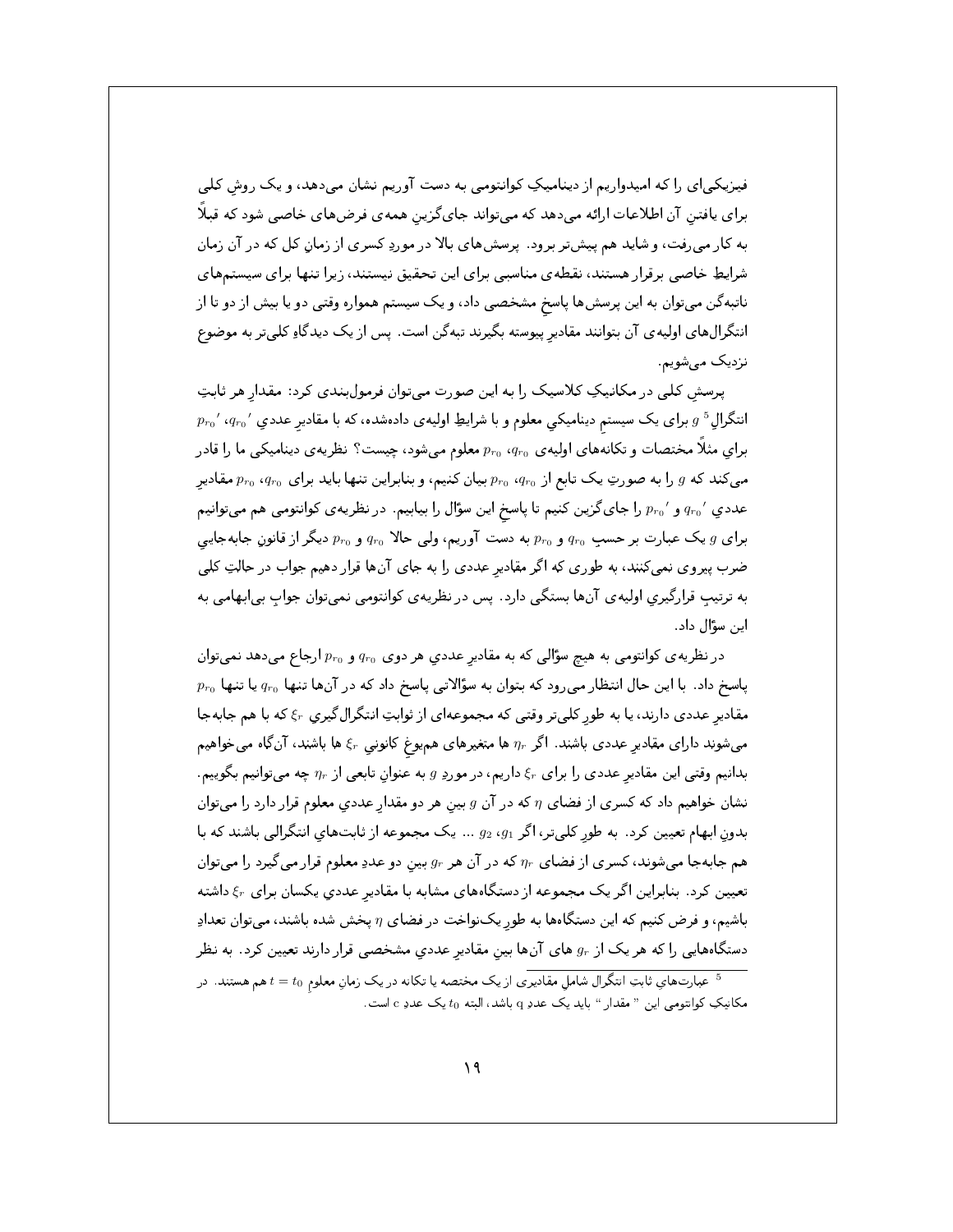فیزیکیای را که امیدواریم از دینامیکِ کوانتومی به دست آوریم نشان میدهد، و یک روش کلبی برای یافتن آن اطلاعات ارائه میدهد که میتواند جای گزین همهی فرضهای خاصی شود که قبلاً به کار میرفت، و شاید هم پیشتر برود. پرسشهای بالا در موردِ کسری از زمان کل که در آن زمان شرایطِ خاصی برقرار هستند، نقطهی مناسبی برای این تحقیق نیستند، زیرا تنها برای سیستمهای ناتبهگن میتوان به این پرسشها پاسخ مشخصی داد، و یک سیستم همواره وقتی دو یا بیش از دو تا از انتگرال های اولیه ی آن بتوانند مقادیر پیوسته بگیرند تبهگن است. پس از یک دیدگاهِ کلیتر به موضوع نزدیک میشویم.

پرسش کلی در مکانیکِ کلاسیک را به این صورت میتوان فرمولبندی کرد: مقدار هر ثابتِ  $p_{r_0}$  ، انتگرالِ  $g$  برای یک سیستم دینامیکی معلوم و با شرایطِ اولیهی دادهشده، که با مقادیر عددیِ  $g$  ،  $g$ برای مثلاً مختصات و تکانههای اولیه ی  $q_{r_0}$  ، معلوم میشود، چیست؟ نظریه ی دینامیکی ما را قادر می کند که  $g$  را به صورتِ یک تابع از  $p_{r_0}$  بیان کنیم، و بنابراین تنها باید برای  $q_{r_0}$  ، هقادیر عددیِ ′  $q_{r_0}$  و ′ م $p_{r_0}$  را جای گزین کنیم تا پاسخ این سؤال را بیابیم . در نظریهی کوانتومی هم میتوانیم برای  $g$ یک عبارت بر حسبِ  $q_{r_0}$  و  $p_{r_0}$  به دست آوریم، ولی حالا  $q_{r_0}$  و  $p_{r_0}$  دیگر از قانونِ جابهجایی ضرب پیروی نمی کنند، به طوری که اگر مقادیر عددی را به جای آنها قرار دهیم جواب در حالتِ کلی به ترتیبِ قرارگیری اولیهی آنها بستگی دارد . پس در نظریهی کوانتومی نمیتوان جوابِ بی|بهامی به این سؤال داد.

در نظریه ی کوانتومی به هیچ سؤالی که به مقادیرِ عددیِ هر دوی  $q_{r_0}$  و  $p_{r_0}$  ارجاع میدهد نمیتوان  $p_{r_0}$  یاسخ داد. با این حال انتظار میرود که بتوان به سؤالاتی یاسخ داد که در آنها تنها  $q_{r_0}$  یا تنها مقادیر عددی دارند، یا به طور کلبیتر وقتبی که مجموعهای از ثوابتِ انتگرالگیری ۶٫ که با هم جابهجا میشوند دارای مقادیر عددی باشند. اگر  $\eta_r$  ها متغیرهای همیوغ کانونی  $\xi_r$  ها باشند، آنگاه میخواهیم بدانیم وقتی این مقادیر عددی را برای  $\xi_r$  داریم، در موردِ g به عنوان تابعی از  $\eta_r$  چه میتوانیم بگوییم. نشان خواهیم داد که کسری از فضای  $\eta$  که در آن  $g$  بین هر دو مقدار عددی معلوم قرار دارد را میتوان بدون ابهام تعیین کرد. به طور کلبیتر، اگر 91، 92 ... یک مجموعه از ثابتهای انتگرالی باشند که با هم جابهجا میشوند، کسری از فضای  $\eta_r$  که در آن هر  $g_r$  بین دو عددِ معلوم قرار میگیرد را میتوان تعیین کرد. بنابراین اگر یک مجموعه از دستگاههای مشابه با مقادیر عددی یکسان برای ۶٫۰ داشته باشیم، و فرض کنیم که این دستگاهها به طور یکنواخت در فضای  $\eta$  پخش شده باشند، میتوان تعدادِ دستگاههایی را که هر یک از  $g_r$  های آنها بین مقادیر عددیِ مشخصی قرار دارند تعیین کرد. به نظر <sup>5</sup> عبارتهای ثابتِ انتگرال شامل مقادیری از یک مختصه یا تکانه در یک زمان معلوم t = t<sub>0</sub> هم هستند. در .<br>مکانیکِ کوانتومی این " مقدار " باید یک عددِ q باشد، البته 10 یک عددِ c است.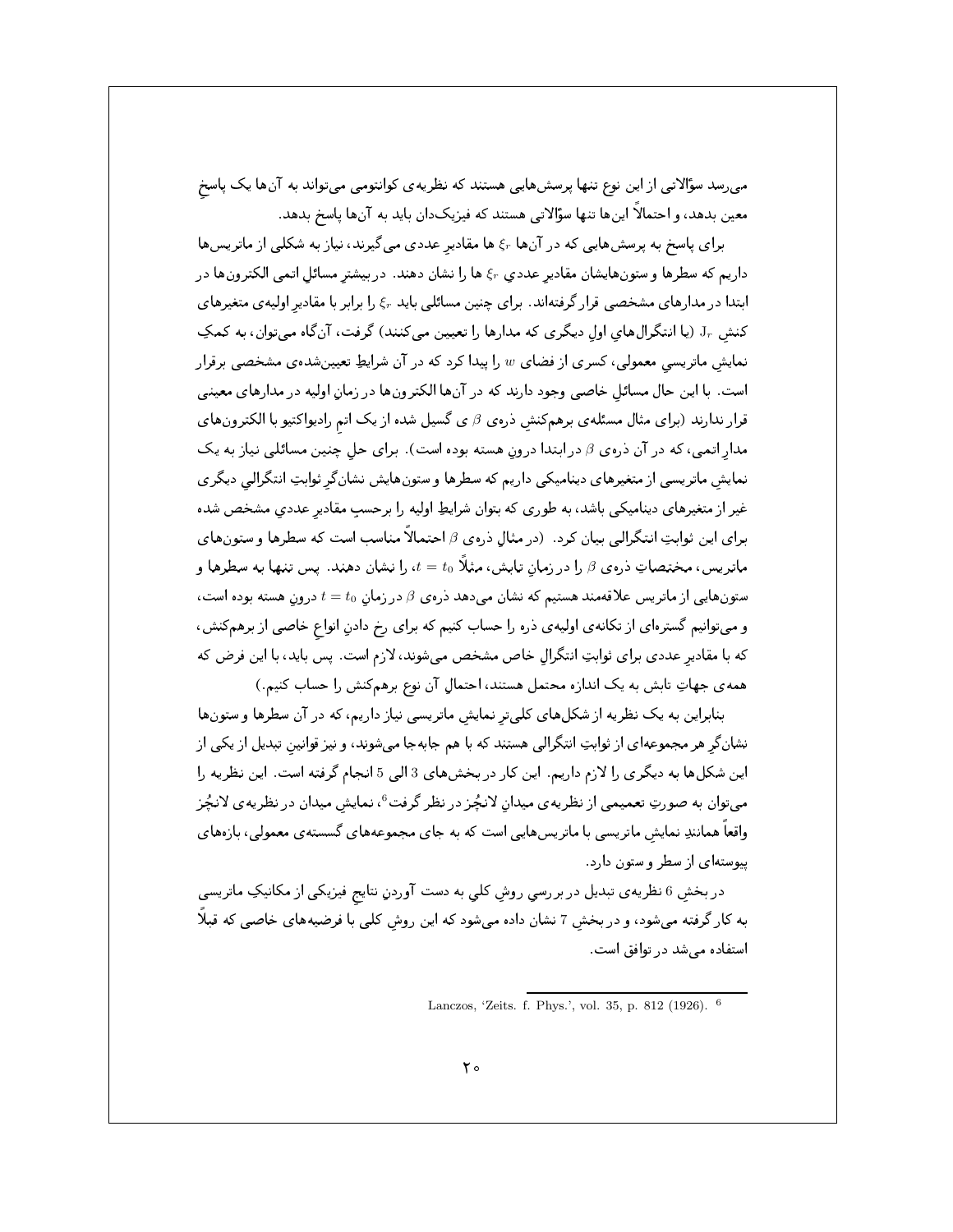می رسد سؤالاتی از این نوع تنها پرسشهایی هستند که نظریه ی کوانتومی میتواند به آنها یک پاسخ معین بدهد، و احتمالاً اینها تنها سؤالاتی هستند که فیزیکدان باید به آنها پاسخ بدهد.

برای پاسخ به پرسشهایی که در آنها ۶٫ ها مقادیر عددی میگیرند، نیاز به شکلی از ماتریسها داریم که سطرها و ستونهایشان مقادیر عددی ۶٫ ها را نشان دهند. در بیشتر مسائل اتمی الکترونها در ابتدا در مدارهای مشخصی قرار گرفتهاند. برای چنین مسائلی باید ۶٫۰ را برابر با مقادیر اولیه ی متغیرهای کنش Jr (يا انتگرال،اي اول ديگري که مدارها را تعيين مي کنند) گرفت، آنگاه مي توان، به کمکِ نمایش ماتریسی معمولی، کسری از فضای  $w$  را پیدا کرد که در آن شرایطِ تعیینشدهی مشخصی برقرار است. با این حال مسائل خاصی وجود دارند که در آنها الکترونها در زمان اولیه در مدارهای معینی قرار ندارند (برای مثال مسئلهی برهمکنش ذرهی  $\beta$ ی گسیل شده از یک اتم رادیواکتیو با الکترونهای مدار اتمی، که در آن ذرهی  $\beta$  در ابتدا درون هسته بوده است). برای حل چنین مسائلبی نیاز به یک نمایش ماتریسی از متغیرهای دینامیکی داریم که سطرها و ستونهایش نشانگر ثوابتِ انتگرالی دیگری غیر از متغیرهای دینامیکی باشد، به طوری که بتوان شرایطِ اولیه را برحسب مقادیر عددی مشخص شده برای این ثوابتِ انتگرالی بیان کرد. (در مثال ذرهی 8 احتمالاً مناسب است که سطرها و ستونهای ماتریس، مختصاتِ ذروی  $\beta$  را در زمان تابش، مثلاً  $t=t_0$  را نشان دهند. پس تنها به سطرها و ستونهایی از ماتریس علاقهمند هستیم که نشان میدهد ذروی  $\beta$  در زمان  $t=t_0$  درون هسته بوده است، و میتوانیم گسترهای از تکانه ی اولیه ی ذره را حساب کنیم که برای رخ دادنِ انواع خاصی از برهمکنش، که با مقادیر عددی برای ثوابتِ انتگرالِ خاص مشخص میشوند، لازم است. پس باید، با این فرض که همه ی جهاتِ تابش به یک اندازه محتمل هستند، احتمال آن نوع برهم کنش را حساب کنیم.)

بنابراین به یک نظریه از شکلهای کلمیتر نمایش ماتریسی نیاز داریم، که در آن سطرها و ستونها نشانگر هر مجموعهای از ثوابتِ انتگرالی هستند که با هم جابهجا میشوند، و نیز قوانین تبدیل از یکی از این شکلها به دیگری را لازم داریم. این کار در بخشهای 3 الی 5 انجام گرفته است. این نظریه را میتوان به صورتِ تعمیمی از نظریهی میدان لانچُز در نظر گرفت<sup>6</sup>، نمایش میدان در نظریهی لانچُز واقعاً همانندِ نمایش ماتریسی با ماتریسهایی است که به جای مجموعههای گسستهی معمولی، بازههای پیوستهای از سطر و ستون دارد.

در بخش 6 نظریه ی تبدیل در بررسی روش کلی به دست آوردنِ نتایج فیزیکی از مکانیکِ ماتریسی به کار گرفته میشود، و در بخش 7 نشان داده میشود که این روش کلی با فرضیههای خاصی که قبلاً استفاده می شد در توافق است.

Lanczos, 'Zeits. f. Phys.', vol. 35, p. 812 (1926). <sup>6</sup>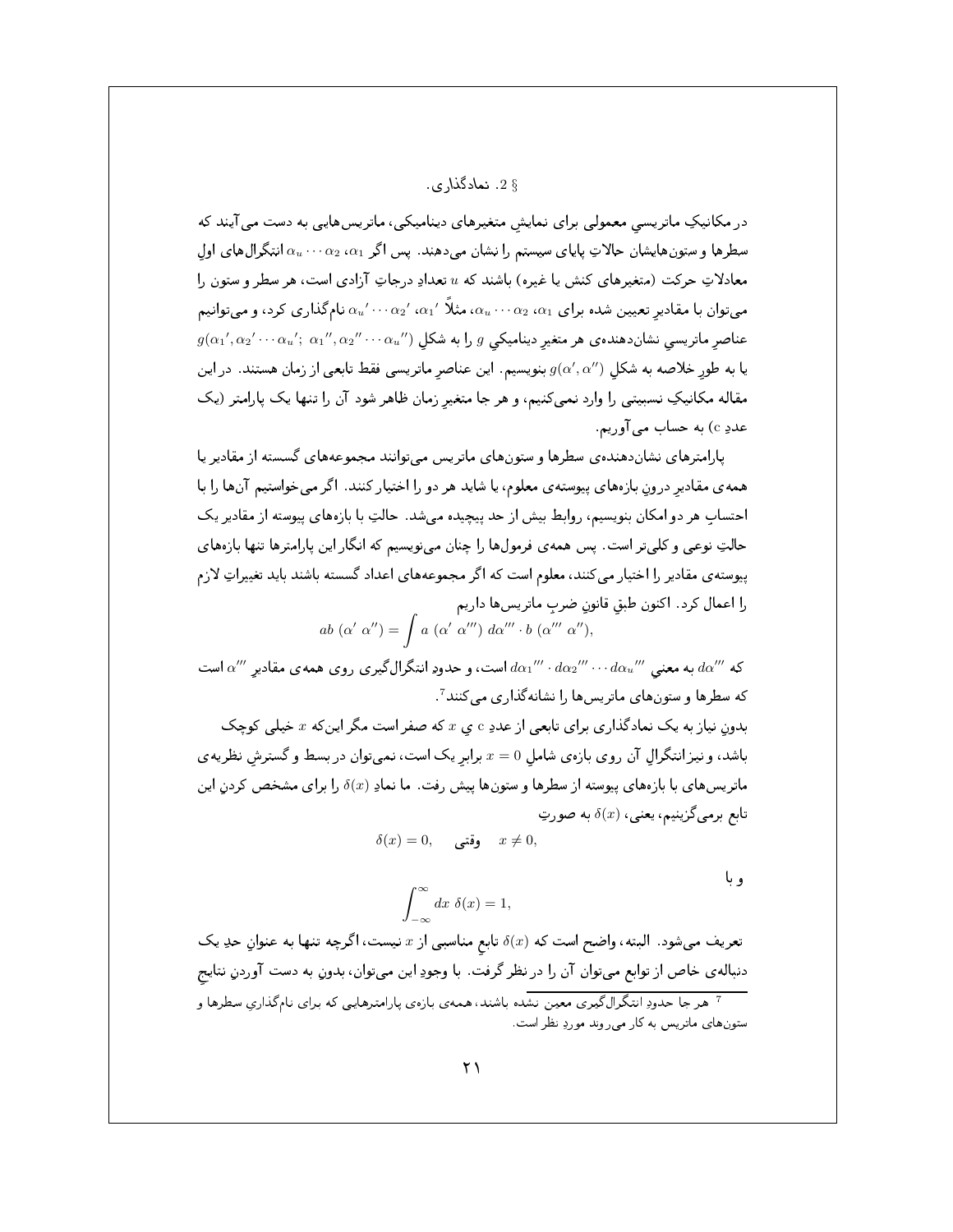## § 2. نمادگذاري.

در مکانیکِ ماتریسی معمولی برای نمایش متغیرهای دینامیکی، ماتریسهایی به دست می آیند که سطرها و ستونهایشان حالاتِ پایای سیستم را نشان میدهند. پس اگر  $\alpha_1$ ،  $\alpha_2$ ، انتگرالهای اول معادلاتِ حرکت (متغیرهای کنش یا غیره) باشند که u تعدادِ درجاتِ آزادی است، هر سطر و ستون را میتوان با مقادیر تعیین شده برای  $\alpha_1$ ،  $\alpha_2$ ، مثلاً  $\alpha_1'$ ، ۵٬ $\alpha_2'$ ، نامگذاری کرد، و میتوانیم  $g(\alpha_1',\alpha_2'\cdots\alpha_u';\; \alpha_1'',\alpha_2''\cdots\alpha_u'')$  عناصر ماتریسی نشاندهنده ی هر متغیر دینامیکی  $g$  را به شکل یا به طور خلاصه به شکل  $g(\alpha',\alpha'')$  بنویسیم. این عناصر ماتریسی فقط تابعی از زمان هستند. در این مقاله مکانیکِ نسبیتی را وارد نمیکنیم، و هر جا متغیر زمان ظاهر شود آن را تنها یک پارامتر (یک عددِ c) به حساب مي آوريم.

پارامترهای نشاندهندهی سطرها و ستونهای ماتریس می توانند مجموعههای گسسته از مقادیر یا همه ی مقادیر درون بازههای پیوسته ی معلوم، یا شاید هر دو را اختیار کنند. اگر می خواستیم آنها را با احتساب هر دو امکان بنویسیم، روابط بیش از حد پیچیده میشد. حالتِ با بازههای پیوسته از مقادیر یک حالتِ نوعی و کلیتر است. پس همهی فرمولها را چنان مینویسیم که انگار این پارامترها تنها بازههای پیوسته ی مقادیر را اختیار می کنند، معلوم است که اگر مجموعههای اعداد گسسته باشند باید تغییراتِ لازم را اعمال كرد. اكنون طبق قانون ضرب ماتريسها داريم

$$
ab(\alpha'\ \alpha'') = \int a(\alpha'\ \alpha''')\ d\alpha''' \cdot b(\alpha'''\ \alpha''),
$$

که  $d\alpha''$  به معنى  $d\alpha_u'''$  .  $d\alpha_2'''$  .  $d\alpha_1'''$  است، و حدودِ انتگرال گیری روی همهی مقادیر  $d\alpha''$  است که سطرها و ستونهای ماتریسها را نشانه گذاری می کنند <sup>7</sup>.

بدون نیاز به یک نمادگذاری برای تابعی از عددِ c ی  $x$  که صفر است مگر اینکه  $x$  خیلی کوچک باشد، و نیز انتگرال آن روی بازهی شامل  $x=0$  برابر یک است، نمیتوان در بسط و گسترش نظریهی ماتریسهای با بازههای پیوسته از سطرها و ستونها پیش رفت. ما نمادِ (&) را برای مشخص کردن این تابع برمي گزينيم، يعني،  $\delta(x)$  به صورتِ

$$
\delta(x)=0,\qquad \text{giv. }x\neq 0,
$$

و با

$$
\int_{-\infty}^{\infty} dx \ \delta(x) = 1,
$$

تعریف میشود. البته، واضح است که  $\delta(x)$  تابع مناسبی از x نیست، اگرچه تنها به عنوانِ حدِ یک دنباله ی خاص از توابع میتوان آن را در نظر گرفت. با وجودِ این میتوان، بدونِ به دست آوردنِ نتایج <sup>7</sup> هر جا حدودِ انتگرال گیری معین نشده باشند، همهی بازهی پارامترهایی که برای نام گذاری سطرها و ستونهای ماتریس به کار می روند موردِ نظر است.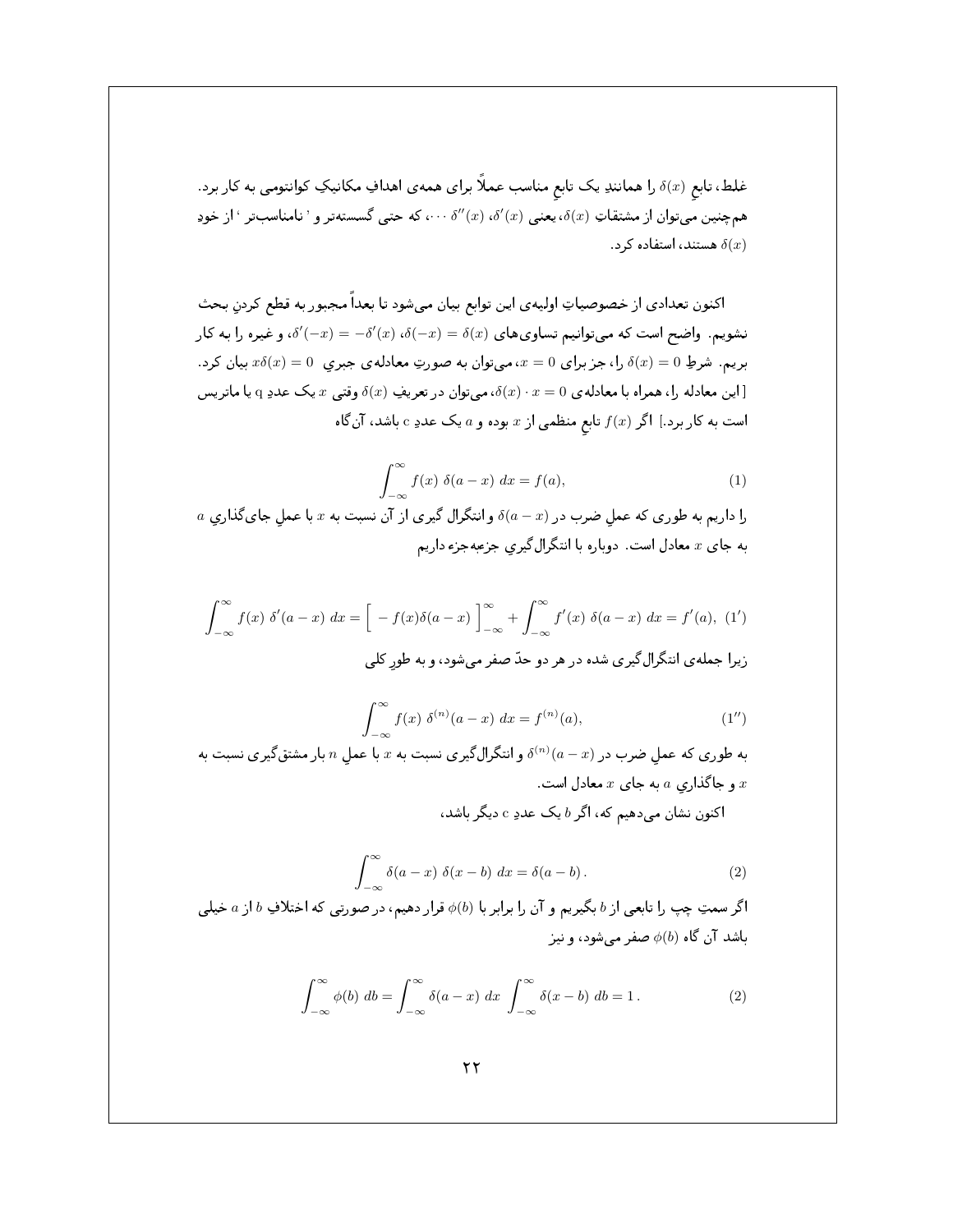اكنون تعدادي از خصوصياتِ اوليهى اين توابع بيان مىشود تا بعداً مجبور به قطع كردن بحث نشویم. واضح است که میتوانیم تساویهای  $\delta(x)=\delta(x)-\delta'$ ،  $\delta(-x)=-\delta'(x)$ ، و غیره را به کار بریم. شرطِ 0 $(0)=\delta(x)$  را، جز برای  $x=0$ ، میتوان به صورتِ معادله $\delta(x)=0$  جبری  $x\delta(x)=0$  بیان کرد. این معادله را، همراه با معادلهی  $x = 0$  ، همیتوان در تعریفِ  $\delta(x) \cdot x$  وقتی  $x$  یک عددِ q یا ماتریس است به کار برد.] اگر  $f(x)$  تابع منظمی از  $x$  بوده و  $a$  یک عددِ c باشد، آنگاه

$$
\int_{-\infty}^{\infty} f(x) \ \delta(a-x) \ dx = f(a), \tag{1}
$$

 $a$  را داریم به طوری که عمل ضرب در  $(a-x)$  و انتگرال گیری از آن نسبت به  $x$  با عمل جای گذاری به جای x معادل است. دوباره با انتگرالگیری جزعبهجزء داریم

$$
\int_{-\infty}^{\infty} f(x) \delta'(a-x) dx = \left[ -f(x)\delta(a-x) \right]_{-\infty}^{\infty} + \int_{-\infty}^{\infty} f'(x) \delta(a-x) dx = f'(a), (1')
$$
ن
$$
\int_{-\infty}^{\infty} f'(x) \delta'(a-x) dx = f'(a), (1')
$$

$$
\int_{-\infty}^{\infty} f(x) \ \delta^{(n)}(a-x) \ dx = f^{(n)}(a), \tag{1''}
$$

به طوری که عمل ضرب در  $\delta^{(n)}(a-x)$  و انتگرال $\delta$ یری نسبت به  $x$  با عمل  $n$  بار مشتق $\delta$ یری نسبت به و جاگذاری  $a$  به جای  $x$  معادل است.  $x$ 

اکنون نشان میدهیم که، اگر  $b$ یک عددِ c دیگر باشد،

$$
\int_{-\infty}^{\infty} \delta(a-x) \delta(x-b) dx = \delta(a-b).
$$
 (2)

اگر سمتِ چپ را تابعی از  $b$  بگیریم و آن را برابر با  $\phi(b)$  قرار دهیم، در صورتی که اختلافِ  $b$  از  $a$  خیلی باشد آن گاه  $\phi(b)$  صفر می شود، و نیز

$$
\int_{-\infty}^{\infty} \phi(b) \, db = \int_{-\infty}^{\infty} \delta(a-x) \, dx \, \int_{-\infty}^{\infty} \delta(x-b) \, db = 1 \, . \tag{2}
$$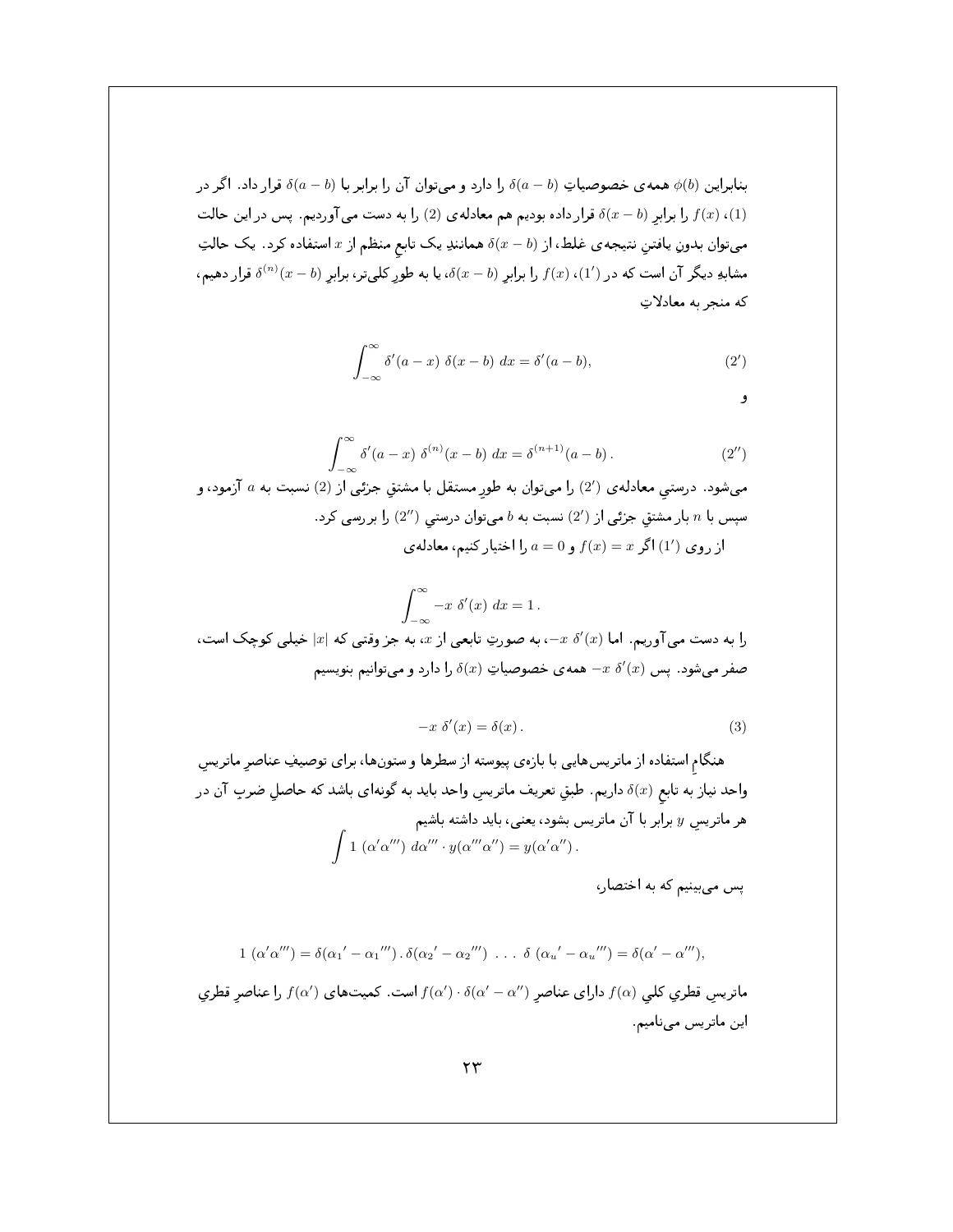بنابراین (b) همه ی خصوصیاتِ (a – b) را دارد و میتوان آن را برابر با  $\delta(a-b)$  قرار داد. اگر در را برابر (x - b) قرار داده بودیم هم معادله ی (2) را به دست می آوردیم. پس در این حالت  $f(x)$  (1) میتوان بدونِ یافتن نتیجه ی غلط، از  $\delta(x-b)$  همانندِ یک تابع منظم از  $x$  استفاده کرد. یک حالتِ ، مشابهِ دیگر آن است که در  $f(x)$  ،  $f(x)$  را برابرِ  $\delta(x-b)$ ، یا به طورِ کلیتر، برابرِ  $\delta^{(n)}(x-b)$  قرار دهیم که منجر به معادلاتِ

$$
\int_{-\infty}^{\infty} \delta'(a-x) \ \delta(x-b) \ dx = \delta'(a-b), \tag{2'}
$$

و

$$
\int_{-\infty}^{\infty} \delta'(a-x) \ \delta^{(n)}(x-b) \ dx = \delta^{(n+1)}(a-b) \,. \tag{2'}
$$

میشود. درستی معادله ی (2′) را میتوان به طور مستقل با مشتق جزئی از (2) نسبت به  $a$  آزمود، و سپس با n بار مشتق جزئی از  $(2')$  نسبت به b میتوان درستی  $(2'')$  را بررسی کرد . از روی (1) اگر $x = f(x) = f(x) = a$  را اختیار کنیم، معادله ی

$$
\int_{-\infty}^{\infty} -x \, \delta'(x) \, dx = 1.
$$
1  
را به دست می آوریم، اما (x)  $x$  -، به صورتِ تابعی از  $x$ ، به جز وقتی که |x| خیلی کوچک است،  
صفر میشود . پس (x)  $x$  - همهی خصوصیاتِ (x) ۵ را دارد و میتوانیم بنویسیم

$$
-x \delta'(x) = \delta(x). \tag{3}
$$

هنگام استفاده از ماتریس هایی با بازهی پیوسته از سطرها و ستونها، برای توصیفِ عناصر ماتریس واحد نیاز به تابع (8/ داریم. طبق تعریف ماتریس واحد باید به گونهای باشد که حاصل ضرب آن در هر ماتریس  $y$  برابر با آن ماتریس بشود، یعنی، باید داشته باشیم  $\int 1\ (\alpha'\alpha''')\ d\alpha''' \cdot y(\alpha''''\alpha'') = y(\alpha'\alpha'')$ .

پس می بینیم که به اختصار،

$$
1\ (\alpha'\alpha''') = \delta(\alpha_1' - \alpha_1''') \cdot \delta(\alpha_2' - \alpha_2''') \ \ldots \ \delta\ (\alpha_u' - \alpha_u''') = \delta(\alpha' - \alpha'''),
$$
ماتريس قطري كلي 
$$
f(\alpha)
$$
ماتريسي قطري كلي 
$$
f(\alpha)
$$
ه انريسي قطري كلي (م) وداول ی مناصي وناص ي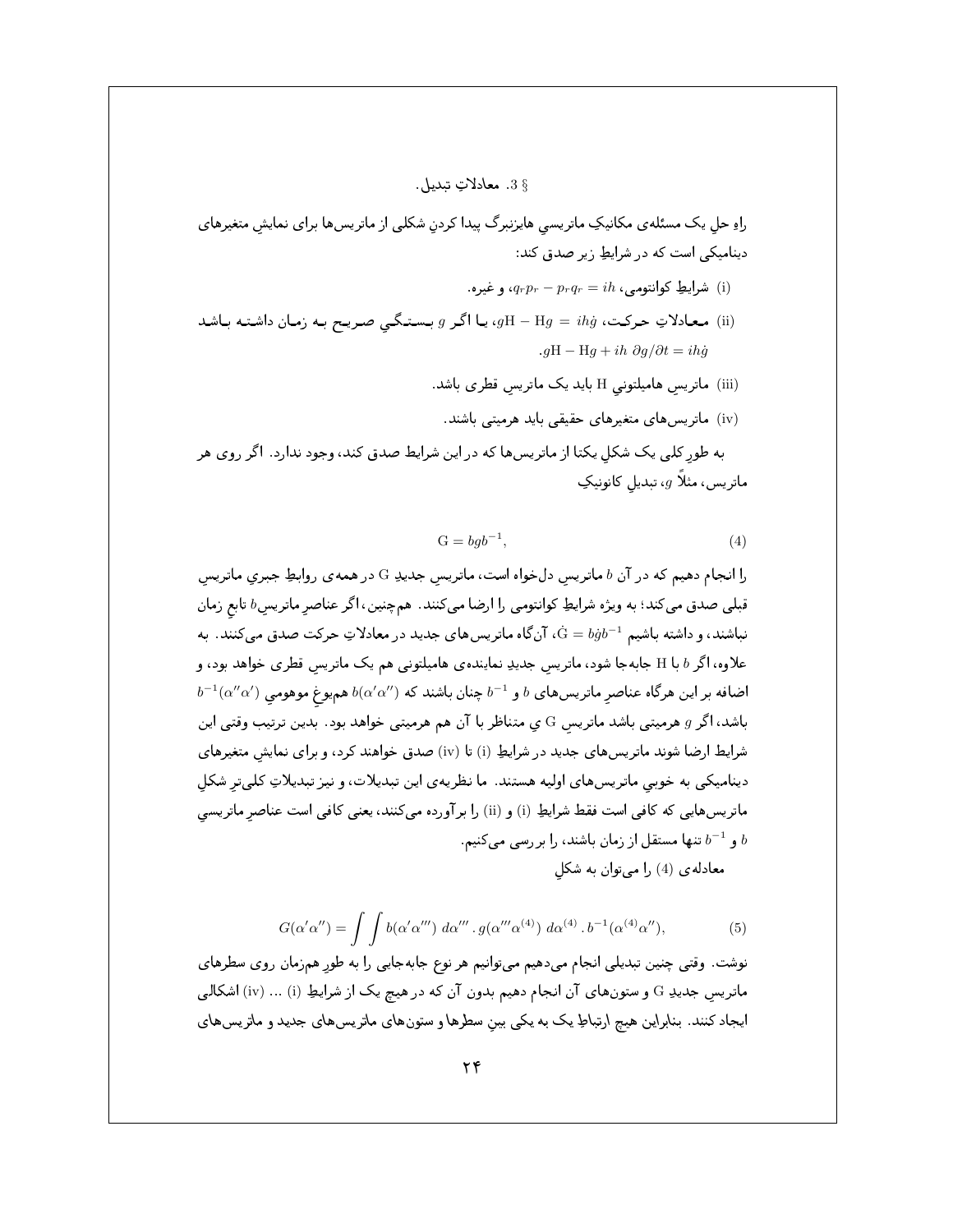## 3 \$ معادلات تىدىل.

راهِ حل یک مسئلهی مکانیکِ ماتریسی هایزنبرگ پیدا کردنِ شکلی از ماتریسها برای نمایشِ متغیرهای دینامیکی است که در شرایطِ زیر صدق کند:

- شرايطِ كوانتومى،  $q_r = p_r$ ، و غيره (i)
- ن) معادلاتِ حرکت،  $H Hg = H$ ، یا اگر gH H $g = i h$  معادلاتِ حرکت،  $g$ H H $g = i h$  $qH - Hq + ih \partial q/\partial t = ih\dot{q}$ 
	- (iii) ماتریس هامیلتونی H باید یک ماتریس قطری باشد.
- (iv) ماتریسهای متغیرهای حقیقی باید هرمیتی باشند. به طور کلبی یک شکل یکتا از ماتریسها که در این شرایط صدق کند، وجود ندارد . اگر روی هر ماتریس، مثلاً  $g$ ، تبدیل کانونیکِ

$$
G = bgb^{-1},\tag{4}
$$

را انجام دهیم که در آن b ماتریس دلخواه است، ماتریس جدید G در همه ی روابطِ جبری ماتریس قبلی صدق میکند؛ به ویژه شرایطِ کوانتومی را ارضا میکنند. همچنین، اگر عناصر ماتریس $b$  تابع زمان نباشند، و داشته باشیم  $\dot{\rm G} = b\dot{g}b^{-1}$ ن گاه ماتریس های جدید در معادلاتِ حرکت صدق می کنند. به علاوه، اگر H با H جابهجا شود، ماتریس جدیدِ نمایندهی هامیلتونی هم یک ماتریس قطری خواهد بود، و  $b^{-1}(\alpha''\alpha')$  اضافه بر این هرگاه عناصر ماتریس های  $b$  و  $b^{-1}$ چنان باشند که  $b(\alpha'\alpha'')$  همیوغ موهومی باشد، اگر g هرمیتبی باشد ماتریس G ی متناظر با آن هم هرمیتبی خواهد بود. بدین ترتیب وقتبی این شرایط ارضا شوند ماتریسهای جدید در شرایطِ (i) تا (iv) صدق خواهند کرد، و برای نمایش متغیرهای دینامیکی به خوبی ماتریسهای اولیه هستند. ما نظریهی این تبدیلات، و نیز تبدیلاتِ کلیتر شکل ماتریسهایی که کافی است فقط شرایطِ (i) و (ii) را برآورده میکنند، یعنی کافی است عناصر ماتریسی و  $b^{-1}$  تنها مستقل از زمان باشند، را بررسی میکنیم.  $b$ معادله ی (4) را می توان به شکل

$$
G(\alpha'\alpha'') = \int \int b(\alpha'\alpha''') d\alpha''' \, . \, g(\alpha'''\alpha^{(4)}) \, d\alpha^{(4)} \, . \, b^{-1}(\alpha^{(4)}\alpha''), \tag{5}
$$

نوشت. وقتی چنین تبدیلی انجام میدهیم میتوانیم هر نوع جابهجایی را به طورِ همزمان روی سطرهای ماتریس جدیدِ G و ستونهای آن انجام دهیم بدون آن که در هیچ یک از شرایطِ (iv) … (iv) اشکالی ایجاد کنند. بنابراین هیچ ارتباطِ یک به یکی بین سطرها و ستونهای ماتریسهای جدید و ماتریسهای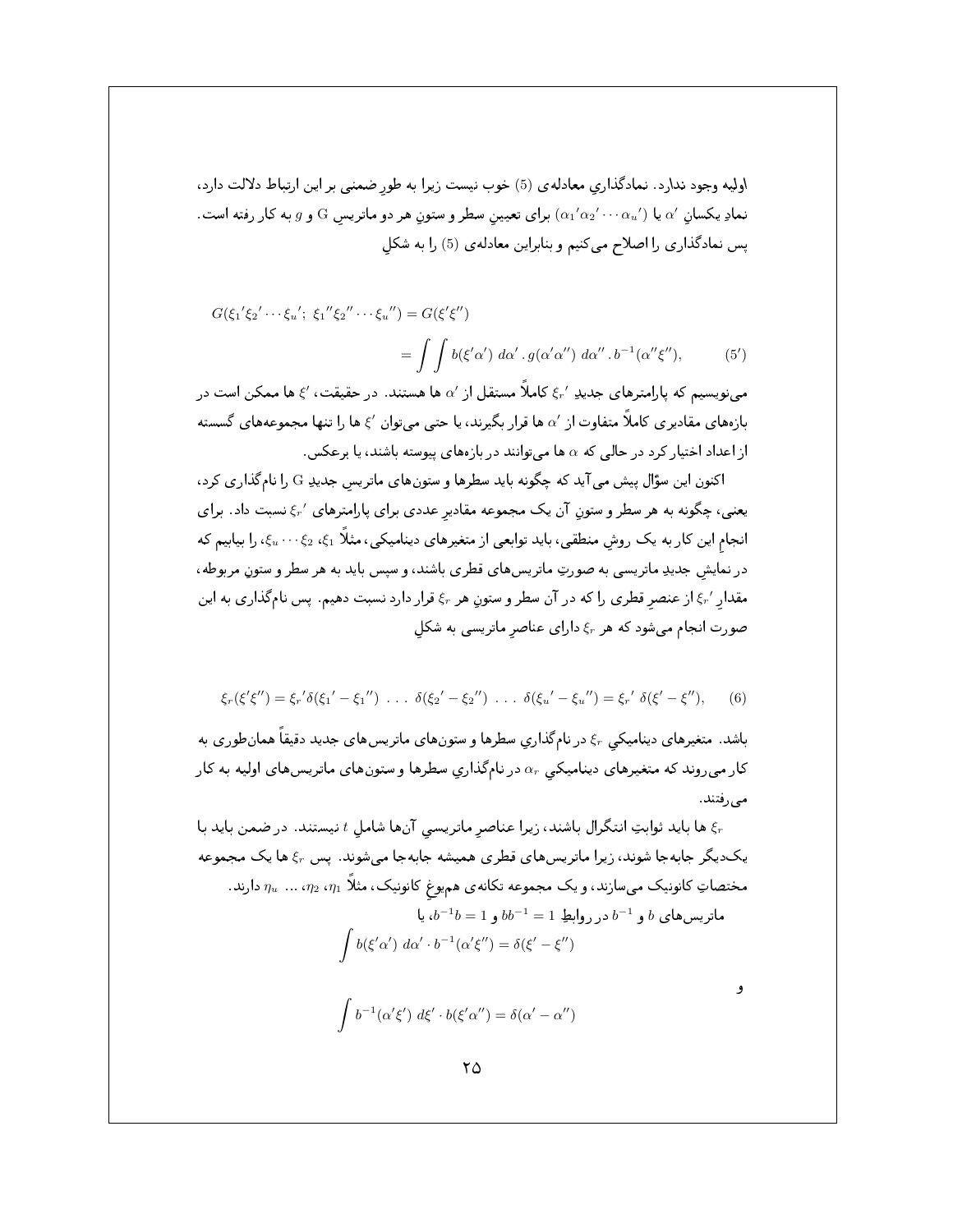اولیه وجود ندارد. نمادگذاری معادلهی (5) خوب نیست زیرا به طور ضمنی بر این ارتباط دلالت دارد، نمادِ یکسان  $\alpha'$  یا  $\alpha'$  یا  $\alpha_1'\alpha_2'\cdots\alpha_n'$ ) برای تعیین سطر و ستون هر دو ماتریس  $\rm{G}$  و  $g$  به کار رفته است. پس نمادگذاری را اصلاح می کنیم و بنابراین معادله ی (5) را به شکل

$$
G(\xi_1'\xi_2'\cdots\xi_u';\ \xi_1''\xi_2''\cdots\xi_u'') = G(\xi'\xi'')
$$
  
= 
$$
\int \int b(\xi'\alpha')\ d\alpha'\ .\ g(\alpha'\alpha'')\ d\alpha'' .\ b^{-1}(\alpha''\xi''), \qquad (5')
$$

می نویسیم که پارامترهای جدیدِ  $\xi_r$  کاملاً مستقل از ۵٬ ها هستند. در حقیقت، ۶٬ ها ممکن است در بازههای مقادیری کاملاً متفاوت از ⁄a ها قرار بگیرند، یا حتبی میتوان ⁄غ ها را تنها مجموعههای گسسته از اعداد اختیار کرد در حالی که a ها میتوانند در بازههای پیوسته باشند، یا برعکس.

اکنون این سؤال پیش می آید که چگونه باید سطرها و ستونهای ماتریس جدیدِ G را نامگذاری کرد، یعنبی، چگونه به هر سطر و ستون آن یک مجموعه مقادیر عددی برای پارامترهای ⁄5٪ نسبت داد. برای انجام این کار به یک روش منطقی، باید توابعی از متغیرهای دینامیکی، مثلاً 21، 2 $\zeta_2\cdots\zeta_n$ ، را بیابیم که در نمایش جدیدِ ماتریسی به صورتِ ماتریسهای قطری باشند، و سپس باید به هر سطر و ستون مربوطه، مقدار /ج) از عنصر قطری را که در آن سطر و ستون هر ۶٫۰ قرار دارد نسبت دهیم. پس نامگذاری به این صورت انجام می شود که هر  $\xi_r$  دارای عناصر ماتریسی به شکل

$$
\xi_r(\xi'\xi'') = \xi_r'\delta(\xi_1' - \xi_1'') \ldots \delta(\xi_2' - \xi_2'') \ldots \delta(\xi_u' - \xi_u'') = \xi_r'\delta(\xi' - \xi''), \qquad (6)
$$

باشد. متغیرهای دینامیکی ۶٫۰ در نامگذاری سطرها و ستونهای ماتریسهای جدید دقیقاً همان طوری به کار میروند که متغیرهای دینامیکی  $\alpha_{r}$  در نامگذاریِ سطرها و ستونهای ماتریسهای اولیه به کار مىرفتند.

ها باید ثوابتِ انتگرال باشند، زیرا عناصر ماتریسی آنها شامل  $t$  نیستند. در ضمن باید با  $\xi_r$ یک دیگر جابهجا شوند، زیرا ماتریسهای قطری همیشه جابهجا می شوند. پس ۶٫۰ ها یک مجموعه . مختصاتِ کانونیک میسازند، و یک مجموعه تکانهی همیوغ کانونیک، مثلاً  $\eta_1$ ،  $\eta_2$ ، …  $\eta_u$  دارند  $b \cdot b^{-1}b = 1$ ,  $bb^{-1} = 1$ ,  $b \cdot b \cdot b^{-1}$ ,  $b \cdot c b$ مات

$$
\int b(\xi'\alpha') d\alpha' \cdot b^{-1}(\alpha'\xi'') = \delta(\xi' - \xi'')
$$

- 9

$$
\int b^{-1}(\alpha'\xi') d\xi' \cdot b(\xi'\alpha'') = \delta(\alpha' - \alpha'')
$$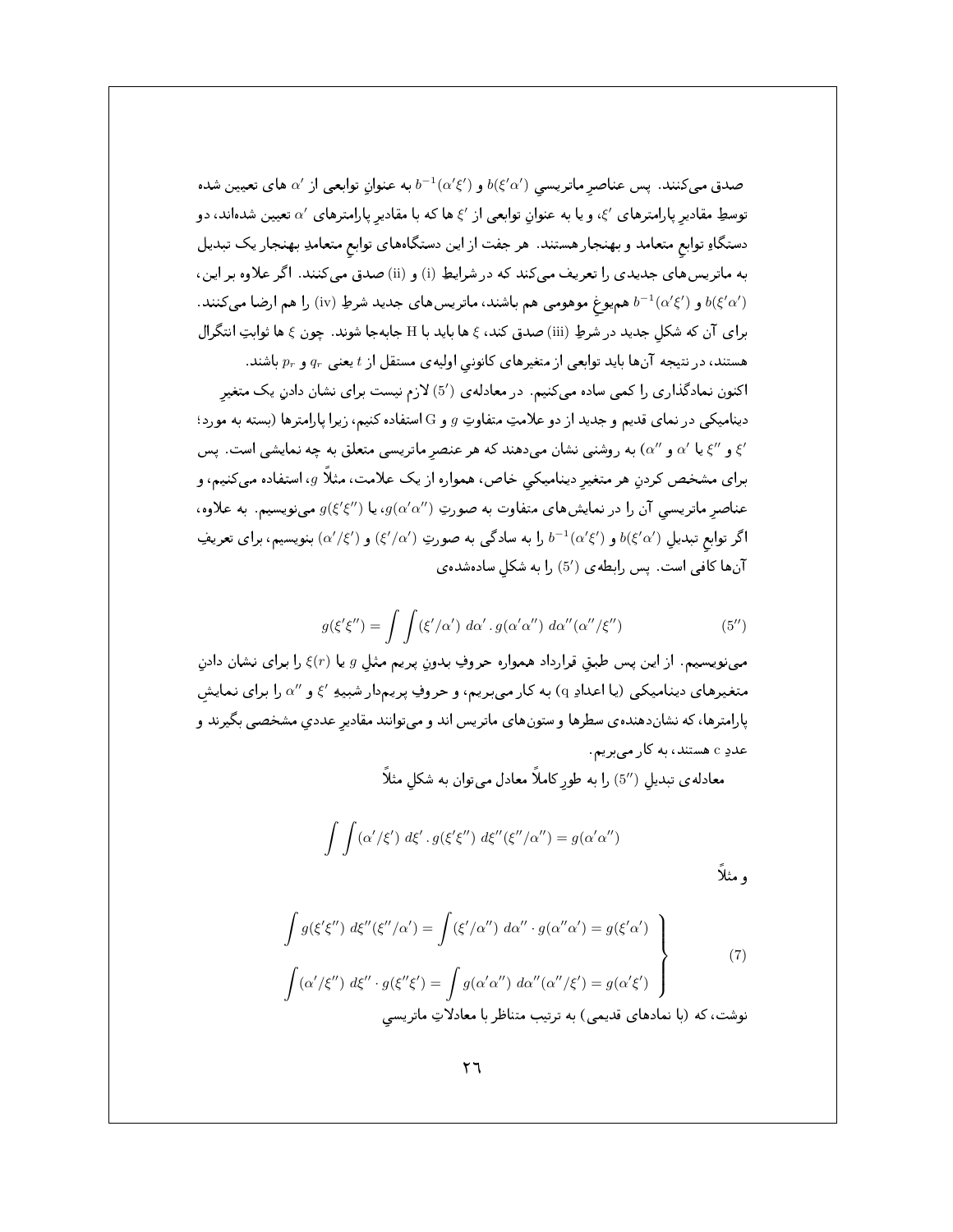صدق میکنند. پس عناصر ماتریسی  $b(\xi'\alpha')$  و  $b^{-1}(\alpha'\xi')$  به عنوان توابعی از 'a های تعیین شده توسطِ مقادیر پارامترهای  $\zeta'$ ، و یا به عنوان توابعی از  $\zeta$  ها که با مقادیر پارامترهای  $\alpha'$  تعیین شدهاند، دو دستگاهِ توابع متعامد و بهنجار هستند. هر جفت از این دستگاههای توابع متعامدِ بهنجار یک تبدیل به ماتریسهای جدیدی را تعریف میکند که در شرایطِ (i) و (ii) صدق میکنند. اگر علاوه بر این، و ( $b^{-1}(\alpha' \xi')$  هم یوغ موهومی هم باشند، ماتریس های جدید شرطِ (iv) را هم ارضا میکنند.  $b(\xi'\alpha')$ برای آن که شکل جدید در شرطِ (iii) صدق کند، ع ها باید با H جابهجا شوند. چون ع ها ثوابتِ انتگرال هستند، در نتیجه آنها باید توابعی از متغیرهای کانونی اولیهی مستقل از t یعنی  $q_r$  و  $q_r$  باشند. اکنون نمادگذاری را کمی ساده میکنیم. در معادلهی (5٪) لازم نیست برای نشان دادن یک متغیر دینامیکی در نمای قدیم و جدید از دو علامتِ متفاوتِ g و G استفاده کنیم، زیرا پارامترها (بسته به مورد؛ ی انگیا او است. پس ( $\alpha'$ ) به روشنی نشان میدهند که هر عنصر ماتریسی متعلق به چه نمایشی است. پس ( $\zeta'$ برای مشخص کردن هر متغیر دینامیکی خاص، همواره از یک علامت، مثلاً g، استفاده میکنیم، و عناصر ماتریسی آن را در نمایشهای متفاوت به صورتِ ( $g(\alpha'\alpha'')$ ، یا  $g(\xi'\xi'')$  مینویسیم. به علاوه، اگر توابع تبدیل  $b(\xi'\alpha')$  و  $b^{-1}(\alpha'\xi')$  را به سادگی به صورتِ  $(\xi'/\alpha')$  و  $(\xi'/\alpha')$  بنویسیم، برای تعریف آنها كافى است. پس رابطهى (5′) را به شكل سادهشدهى

$$
g(\xi'\xi'') = \int \int (\xi'/\alpha') \, d\alpha' \, g(\alpha'\alpha'') \, d\alpha''(\alpha''/\xi'')
$$
 (5'')

مینویسیم. از این پس طبق قرارداد همواره حروفِ بدون پریم مثل g یا  $\xi(r)$  را برای نشان دادن متغیرهای دینامیکی (یا اعدادِ q) به کار میبریم، و حروفِ پریم‹ار شبیهِ ′} و ′′a را برای نمایش پارامترها، که نشاندهندهی سطرها و ستونهای ماتریس اند و میتوانند مقادیر عددی مشخصی بگیرند و عددِ c هستند، به کار میبریم.

معادله ی تبدیل (5⁄2) را به طور کاملاً معادل می;توان به شکل مثلاً

$$
\int \int (\alpha'/\xi') d\xi' \cdot g(\xi'\xi'') d\xi''(\xi''/\alpha'') = g(\alpha'\alpha'')
$$
و منلاً

$$
\int g(\xi'\xi'') d\xi''(\xi''/\alpha') = \int (\xi'/\alpha'') d\alpha'' \cdot g(\alpha''\alpha') = g(\xi'\alpha')
$$
\n
$$
\int (\alpha'/\xi'') d\xi'' \cdot g(\xi''\xi') = \int g(\alpha'\alpha'') d\alpha''(\alpha''/\xi') = g(\alpha'\xi')
$$
\n
$$
\tag{7}
$$
\n
$$
\text{g}_{\alpha\beta} = \int g(\alpha'\alpha'') d\alpha''(\alpha''/\xi') = g(\alpha'\xi')
$$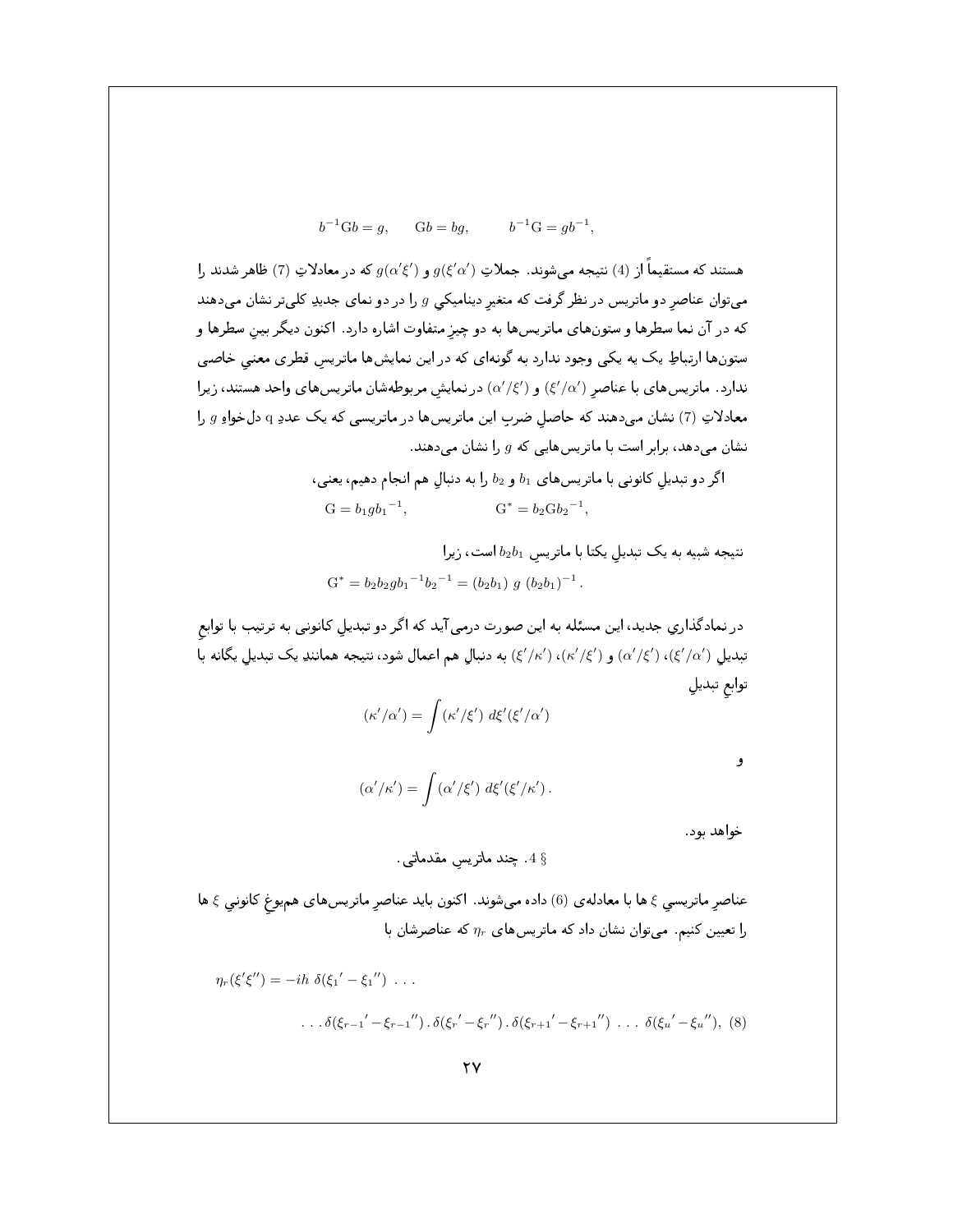$$
b^{-1}Gb = g,
$$
  $Gb = bg,$   $b^{-1}G = gb^{-1},$ 

هستند که مستقیماً از (4) نتیجه می شوند. جملاتِ  $g(\xi'\alpha')$  و  $g(\xi'\alpha')$  که در معادلاتِ (7) ظاهر شدند را میتوان عناصر دو ماتریس در نظر گرفت که متغیر دینامیکی  $g$  را در دو نمای جدیدِ کلیتر نشان میدهند که در آن نما سطرها و ستونهای ماتریسها به دو چیز متفاوت اشاره دارد. اکنون دیگر بین سطرها و ستونها ارتباطِ یک یه یکی وجود ندارد به گونهای که در این نمایشها ماتریس قطری معنی خاصی ندارد. ماتریسهای با عناصر (٤/a)) و (a'/ξ') در نمایش مربوطهشان ماتریسهای واحد هستند، زیرا معادلاتِ (7) نشان میدهند که حاصل ضرب این ماتریسها در ماتریسی که یک عددِ q دلخواهِ g را نشان میدهد، برابر است با ماتریسهایی که  $g$  را نشان میدهند.

$$
\delta_2 \quad b_1 \quad b_2 \quad b_3 \quad b_4 \quad b_5
$$
و په دنبالي هم انجام دهیم، یعنی،
$$
G = b_1 g b_1^{-1}, \qquad G^* = b_2 G b_2^{-1},
$$

نتیجه شبیه به یک تبدیل یکتا با ماتریس  $b_2b_1$  است، زیرا  $G^* = b_2b_2gb_1^{-1}b_2^{-1} = (b_2b_1) g (b_2b_1)^{-1}$ .

در نمادگذاری جدید، این مسئله به این صورت درمی آید که اگر دو تبدیل کانونی به ترتیب با توابع تبدیل (/a//g)، (/s//g) و (/k//s)، (/k//s) به دنبال هم اعمال شود، نتیجه همانندِ یک تبدیل یگانه با توابع تبديلي

$$
(\kappa'/\alpha') = \int (\kappa'/\xi') \; d\xi'(\xi'/\alpha')
$$

 $(\alpha'/\kappa') = \int (\alpha'/\xi') d\xi'(\xi'/\kappa')$ .

خواهد بود.

و

4 §. چند ماتریس مقدماتی.

عناصر ماتریسی ع ها با معادله ی (6) داده میشوند. اکنون باید عناصرِ ماتریسهای همیوغ کانونی ع ها را تعیین کنیم. میتوان نشان داد که ماتریسهای  $\eta_r$  که عناصرشان با

$$
\eta_r(\xi'\xi'') = -ih \ \delta(\xi_1' - \xi_1'') \ \dots
$$
  
... 
$$
\delta(\xi_{r-1}' - \xi_{r-1}'') \cdot \delta(\xi_{r}' - \xi_{r}'') \cdot \delta(\xi_{r+1}' - \xi_{r+1}'') \ \dots \ \delta(\xi_u' - \xi_u''),
$$
 (8)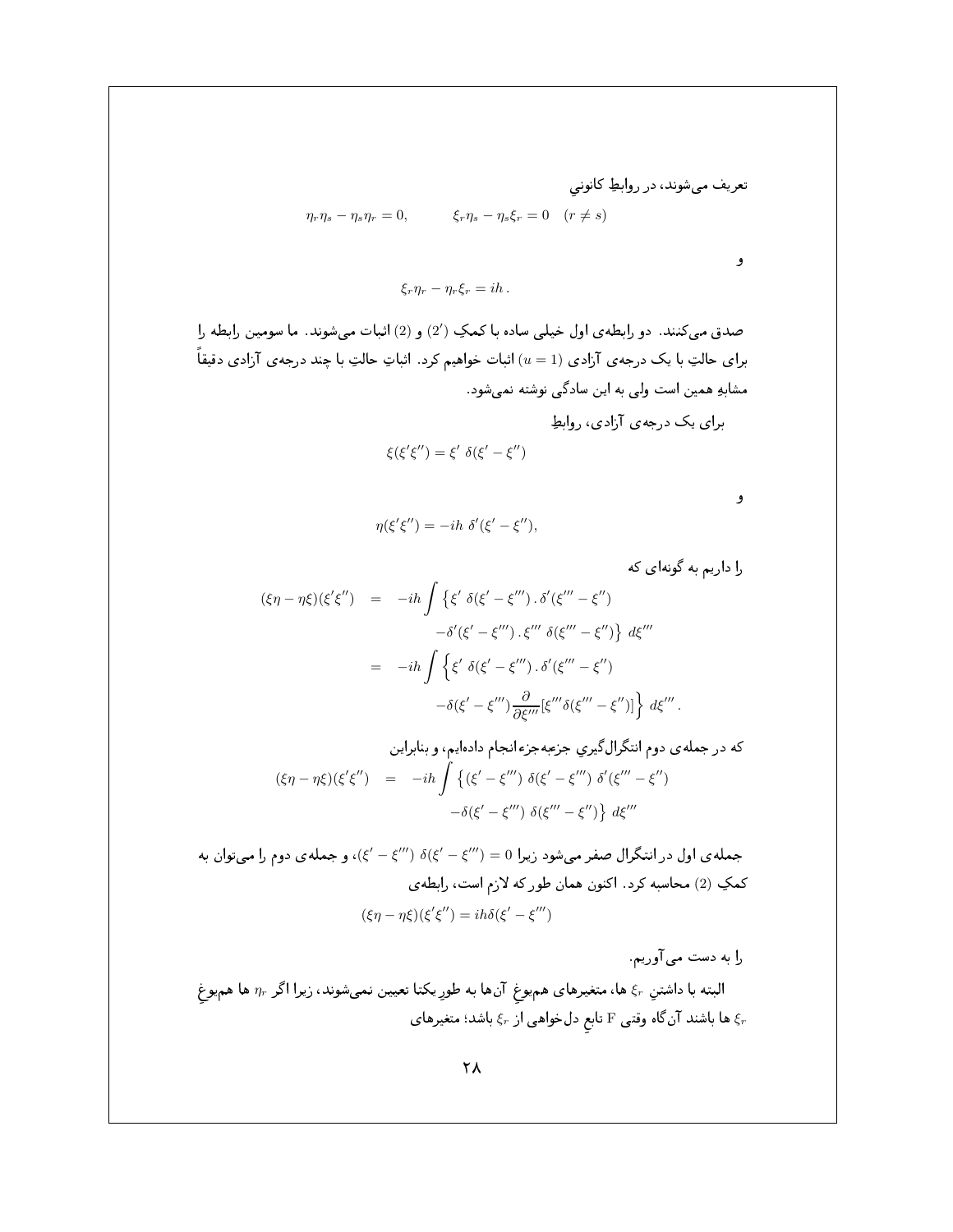تعریف میشوند، در روابطِ کانونی  
\n
$$
\eta_r \eta_s - \eta_s \eta_r = 0, \qquad \xi_r \eta_s - \eta_s \xi_r = 0 \quad (r \neq s)
$$

و

$$
\xi_r \eta_r - \eta_r \xi_r = ih.
$$

صدق میکنند. دو رابطهی اول خیلی ساده با کمکِ (2′) و (2) اثبات میشوند. ما سومین رابطه را برای حالتِ با یک درجهی آزادی  $(u=1)$  اثبات خواهیم کرد . اثباتِ حالتِ با چند درجهی آزادی دقیقاً مشابهِ همین است ولی به این سادگی نوشته نمیشود . برای یک درجهی آزادی، روابط  $\mathcal{L}(\mathcal{U}) = \mathcal{U}(\mathcal{U}) = \mathcal{U}(\mathcal{U})$ 

$$
\xi(\xi'\xi'')=\xi'\,\,\delta(\xi'-\xi'')
$$

و

$$
\eta(\xi'\xi'') = -ih \delta'(\xi'-\xi''),
$$

را داریم به گونهای که

$$
(\xi \eta - \eta \xi)(\xi' \xi'') = -ih \int \{ \xi' \delta(\xi' - \xi''') \cdot \delta'(\xi''' - \xi'')
$$

$$
- \delta'(\xi' - \xi''') \cdot \xi''' \delta(\xi''' - \xi'') \} d\xi'''
$$

$$
= -ih \int \{ \xi' \delta(\xi' - \xi''') \cdot \delta'(\xi''' - \xi'')
$$

$$
- \delta(\xi' - \xi''') \frac{\partial}{\partial \xi'''} [\xi''' \delta(\xi''' - \xi'')] \} d\xi'''.
$$

که در جملهی دوم انتگرال گیریِ جزعبهجرء انجام دادهایم، و بنابراین  
\n
$$
(\xi\eta - \eta\xi)(\xi'\xi'') = -ih \int \{(\xi' - \xi''') \delta(\xi' - \xi''') \delta'(\xi''' - \xi'')
$$
\n
$$
-\delta(\xi' - \xi''') \delta(\xi''' - \xi'') \} d\xi'''
$$

جمله ی اول در انتگرال صفر میشود زیرا 0 = (4'') ^ (4'') = (5)، و جمله ی دوم را میتوان به كمكِ (2) محاسبه كرد. اكنون همان طور كه لازم است، رابطهى  $(\xi \eta - \eta \xi)(\xi' \xi'') = i h \delta(\xi' - \xi''')$ 

را به دست می آوریم.

البته با داشتنِ ج ها، متغیرهای همیوغ آنها به طورِ یکتا تعیین نمیشوند، زیرا اگر  $\eta_r$  ها همیوغ ها باشند آنگاه وقتی  $\rm F$  تابع دلخواهی از  $\rm \xi_r$  باشد؛ متغیرهای  $\rm \xi_r$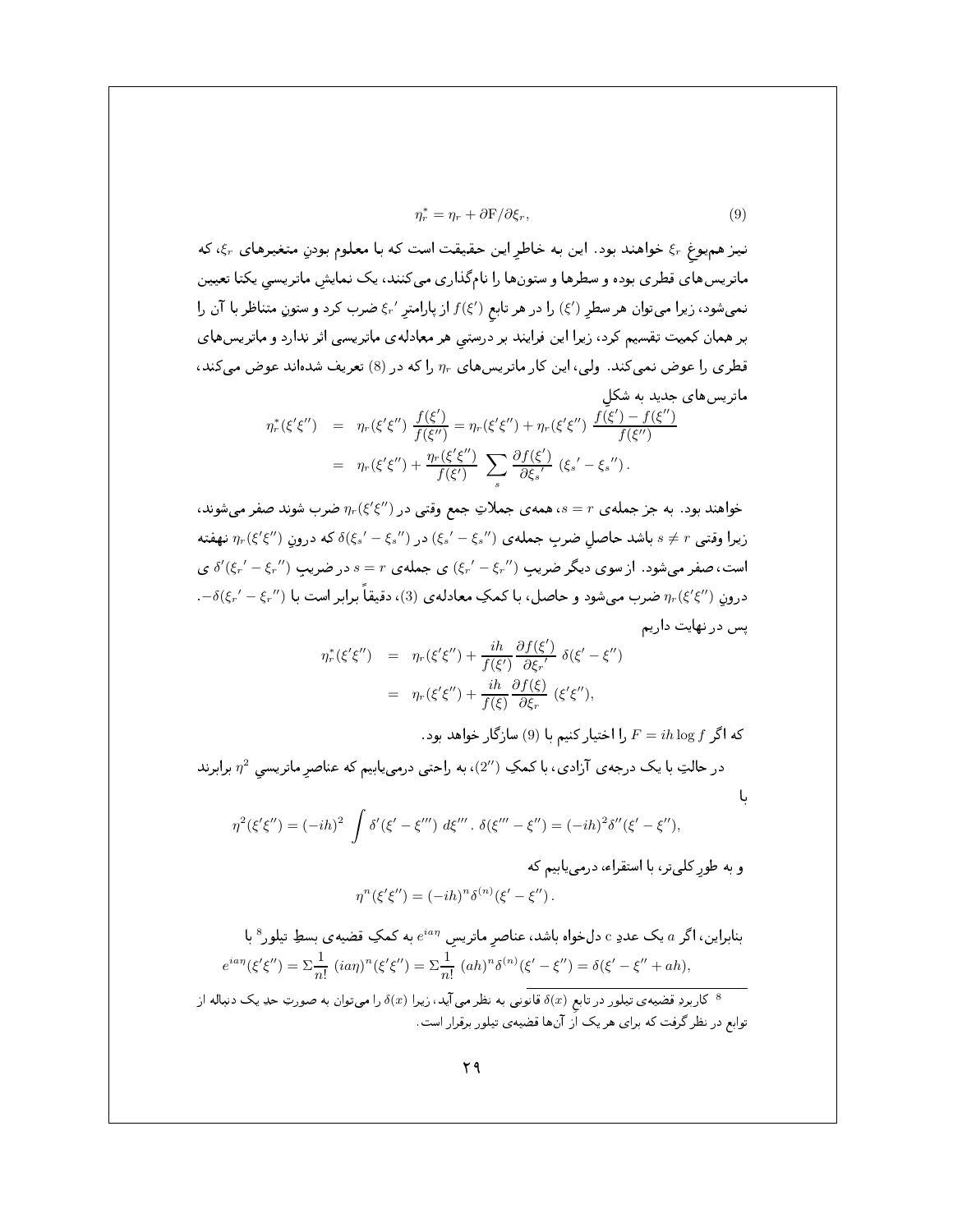$$
\eta_r^* = \eta_r + \partial \mathcal{F} / \partial \xi_r,\tag{9}
$$

نیز هم یوغ  $\xi_r$  خواهند بود. این به خاطر این حقیقت است که با معلوم بودن متغیرهای  $\xi_r$ ، که ماتریس های قطری بوده و سطرها و ستونها را نامگذاری میکنند، یک نمایش ماتریسی یکتا تعیین نمیشود، زیرا میتوان هر سطر (′}) را در هر تابع (′}) از پارامتر ′{، نصرب کرد و ستونِ متناظر با آن را بر همان کمیت تقسیم کرد، زیرا این فرایند بر درستی هر معادلهی ماتریسی اثر ندارد و ماتریسهای قطری را عوض نمیکند. ولی، این کار ماتریسهای  $\eta_r$  را که در (8) تعریف شدهاند عوض میکند، ماتریس های جدید به شکل

$$
\eta_r^*(\xi'\xi'') = \eta_r(\xi'\xi'') \frac{f(\xi')}{f(\xi'')} = \eta_r(\xi'\xi'') + \eta_r(\xi'\xi'') \frac{f(\xi') - f(\xi'')}{f(\xi'')} \n= \eta_r(\xi'\xi'') + \frac{\eta_r(\xi'\xi'')}{f(\xi')} \sum_s \frac{\partial f(\xi')}{\partial \xi_s'} (\xi_s' - \xi_s'').
$$

خواهند بود. به جز جمله ی  $r=s$ ، همه ی جملاتِ جمع وقتی در  $\eta_r(\xi'\xi'')$  ضرب شوند صفر میشوند، زیرا وقتبی  $s\neq r$  باشد حاصل ضرب جمله ی  $(\xi_s'-\xi_s'')$  در  $(\xi_s'-\xi_s'')$  که درونِ  $\eta_r(\xi'\xi'')$  نهفته است، صفر می شود . از سوی دیگر ضریب  $(\xi_r'-\xi_r'')$  ی جمله ی  $r=s$  در ضریب  $\delta'(\xi_r'-\xi_r'')$  ی  $-\delta(\xi_r'-\xi_r'')$  (درون  $\eta_r(\xi'\xi'')$  ضرب میشود و حاصل، با کمکِ معادلهی (3)، دقیقاً برابر است با یس در نهایت داریم

$$
\eta_r^*(\xi'\xi'') = \eta_r(\xi'\xi'') + \frac{ih}{f(\xi')} \frac{\partial f(\xi')}{\partial \xi_r'} \delta(\xi' - \xi'')
$$
  
= 
$$
\eta_r(\xi'\xi'') + \frac{ih}{f(\xi)} \frac{\partial f(\xi)}{\partial \xi_r} (\xi'\xi''),
$$

. كه اگر  $f$   $\log f$  با اختيار كنيم با (9) سازگار خواهد بود

با

در حالتِ با یک درجهی آزادی، با کمکِ  $(2'')$ ، به راحتی درمییابیم که عناصر ماتریسی  $\eta^2$  برابرند

$$
\eta^{2}(\xi'\xi'') = (-ih)^{2} \int \delta'(\xi' - \xi''') d\xi''' \cdot \delta(\xi''' - \xi'') = (-ih)^{2} \delta''(\xi' - \xi''),
$$

و به طورِ کلیتر، با استقراء، درمییابیم که  
۱
$$
\eta^n(\xi'\xi'') = (-ih)^n \delta^{(n)}(\xi'-\xi'')
$$
.

بنابراین، اگر a یک عددِ c دلخواه باشد، عناصر ماتریس  $e^{ia\eta}$  به کمکِ قضیهی بسطِ تیلور  $^8$  با  $e^{ia\eta}(\xi'\xi'') = \sum \frac{1}{n!} (ia\eta)^n(\xi'\xi'') = \sum \frac{1}{n!} (ah)^n \delta^{(n)}(\xi' - \xi'') = \delta(\xi' - \xi'' + ah),$ 

کاربردِ قضیهی تیلور در تابع  $\delta(x)$ قانونی به نظر می آید، زیرا  $\delta(x)$  را می توان به صورتِ حدِ یک دنباله از  $^8$ توابع در نظر گرفت که برای هر یک اَز آنها قضیه ی تیلور برقرار است.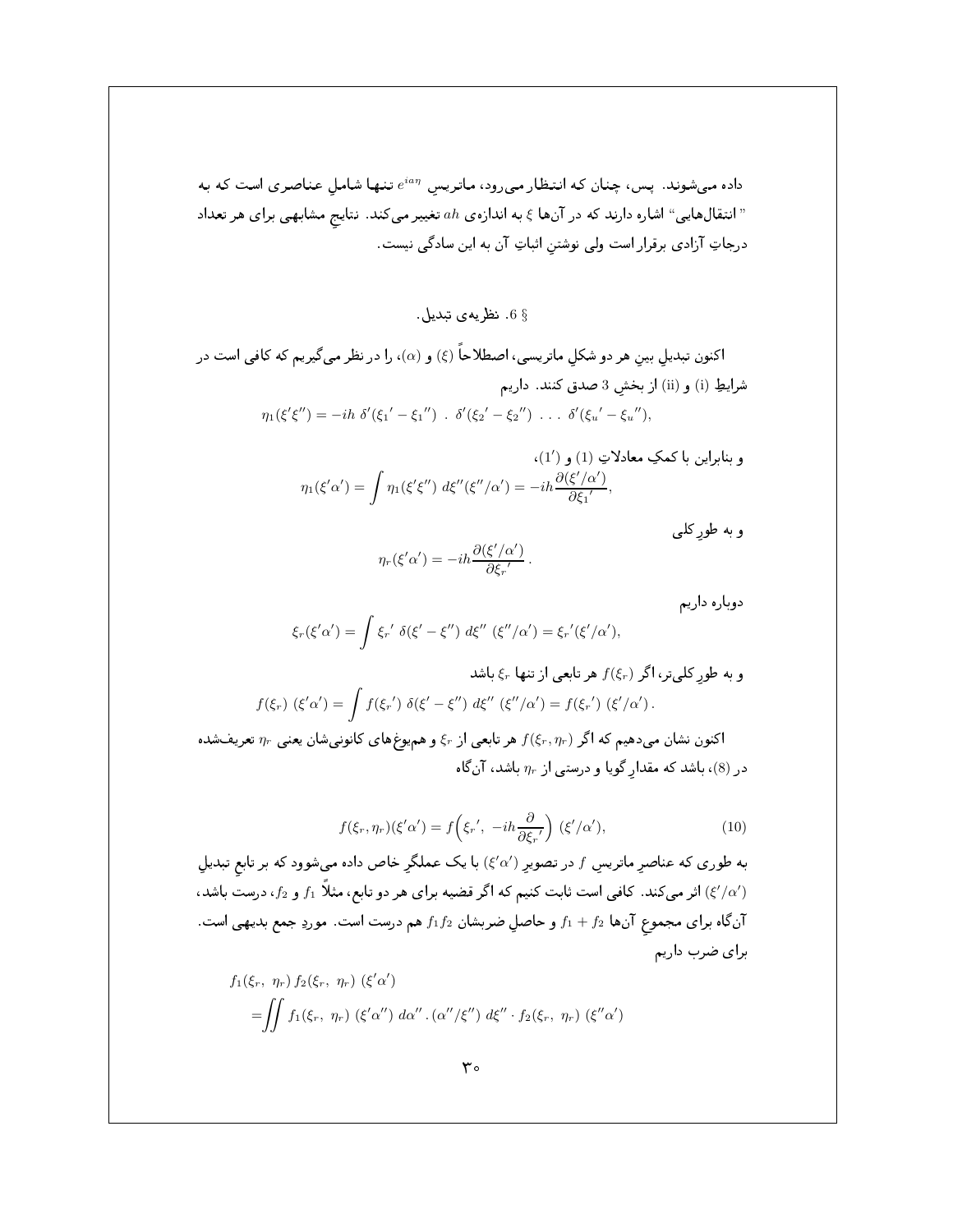داده میشوند. پس، چنان که انتظار میرود، ماتریس  $e^{i a \eta}$  تنها شامل عناصری است که به انتقالهایی" اشاره دارند که در آنها ع به اندازه ی  $a h$  تغییر میکند. نتایج مشابهی برای هر تعداد" درجاتِ آزادی برقرار است ولی نوشتن اثباتِ آن به این سادگی نیست.

6 6. نظر په ی تبدیل

اکنون تبدیل بین هر دو شکل ماتریسی، اصطلاحاً (¿) و (a)، را در نظر میگیریم که کافی است در شرايطِ (i) و (ii) از بخش 3 صدق كنند. داريم  $\eta_1(\xi'\xi'') = -ih \delta'(\xi_1' - \xi_1'') \cdot \delta'(\xi_2' - \xi_2'') \cdot \cdot \cdot \delta'(\xi_u' - \xi_u''),$ 

$$
\eta_1(\xi'\alpha') = \int \eta_1(\xi'\xi'')\; d\xi''(\xi''/\alpha') = -ih \frac{\partial(\xi'/\alpha')}{\partial \xi_1'},
$$
و به طور کلی  
و به طور کلی

$$
\eta_r(\xi'\alpha') = -ih\frac{\partial(\xi'/\alpha')}{\partial\xi_r'}.
$$

دوباره داريم

$$
\xi_r(\xi'\alpha') = \int \xi_{r'} \delta(\xi' - \xi'') d\xi'' (\xi''/\alpha') = \xi_{r'}(\xi'/\alpha'),
$$

و به طورِ کلیتر، اگر (۶,۶) هر تابعی از تنها ب<sup>ب</sup> چ باشد  

$$
f(\xi_r) (\xi'\alpha') = \int f(\xi_{r}') \; \delta(\xi' - \xi'') \; d\xi'' (\xi''/\alpha') = f(\xi_{r}') (\xi'/\alpha').
$$

اکنون نشان میدهیم که اگر  $f(\xi_r,\eta_r)$  هر تابعی از  $\xi_r$  و همیوغهای کانونیشان یعنی  $\eta_r$  تعریفشده در (8)، باشد که مقدار گویا و درستی از  $\eta_r$  باشد، آنگاه

$$
f(\xi_r, \eta_r)(\xi'\alpha') = f\left(\xi_{r}', -ih\frac{\partial}{\partial \xi_{r}'}\right) (\xi'/\alpha'),\tag{10}
$$

به طوری که عناصرِ ماتریسِ  $f$  در تصویرِ  $(\zeta'\alpha')$  با یک عملگرِ خاص داده میشوود که بر تابع تبدیلِ اثر میکند. کافی است ثابت کنیم که اگر قضیه برای هر دو تابع، مثلاً  $f_1$  و  $f_2$ ، درست باشد،  $f'(\alpha')$ آن گاه برای مجموع آنها  $f_1+f_2$  و حاصل ضربشان  $f_1f_2$  هم درست است. موردِ جمع بدیهی است. براى ضرب داريم

$$
f_1(\xi_r, \eta_r) f_2(\xi_r, \eta_r) (\xi'\alpha')
$$
  
= 
$$
\iint f_1(\xi_r, \eta_r) (\xi'\alpha'') d\alpha'' \cdot (\alpha''/\xi'') d\xi'' \cdot f_2(\xi_r, \eta_r) (\xi''\alpha')
$$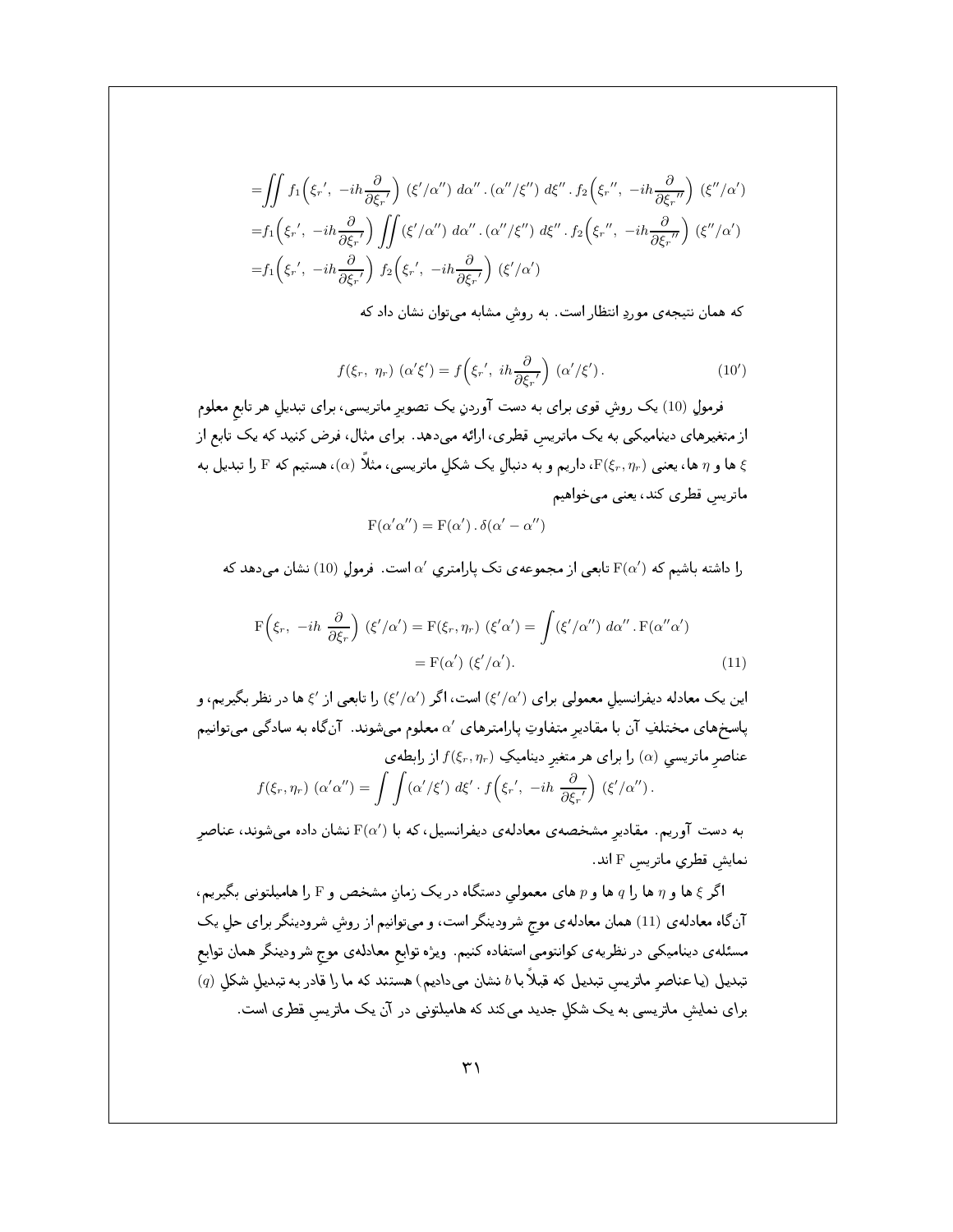$$
\begin{split}\n&= \iint f_1\left(\xi_r', \ -ih\frac{\partial}{\partial\xi_r'}\right) \ (\xi'/\alpha'') \ d\alpha'' \ . \ (\alpha''/\xi'') \ d\xi'' \ . \ f_2\left(\xi_r'', \ -ih\frac{\partial}{\partial\xi_r''}\right) \ (\xi''/\alpha') \\
&= f_1\left(\xi_r', \ -ih\frac{\partial}{\partial\xi_r'}\right) \iint (\xi'/\alpha'') \ d\alpha'' \ . \ (\alpha''/\xi'') \ d\xi'' \ . \ f_2\left(\xi_r'', \ -ih\frac{\partial}{\partial\xi_r''}\right) \ (\xi''/\alpha') \\
&= f_1\left(\xi_r', \ -ih\frac{\partial}{\partial\xi_r'}\right) \ f_2\left(\xi_r', \ -ih\frac{\partial}{\partial\xi_r'}\right) \ (\xi'/\alpha')\n\end{split}
$$

که همان نتیجه ی موردِ انتظار است. به روش مشابه میتوان نشان داد که

$$
f(\xi_r, \eta_r) \left( \alpha' \xi' \right) = f\left( \xi_{r'}, \ i h \frac{\partial}{\partial \xi_{r'}} \right) \left( \alpha' / \xi' \right). \tag{10'}
$$

فرمول (10) یک روش قوی برای به دست آوردن یک تصویر ماتریسی، برای تبدیل هر تابع معلوم از متغیرهای دینامیکی به یک ماتریس قطری، ارائه میدهد. برای مثال، فرض کنید که یک تابع از ها و  $\eta$  ها، یعنبی  $\mathrm{F}(\xi_r,\eta_r)$ ، داریم و به دنبال یک شکل ماتریسی، مثلاً ( $\alpha$ )، هستیم که  $\mathrm{F}$  را تبدیل به  $\xi$ ماتریس قطری کند، یعنی میخواهیم

$$
F(\alpha'\alpha'') = F(\alpha') \cdot \delta(\alpha' - \alpha'')
$$

را داشته باشیم که  ${\rm F}(\alpha')$  تابعی از مجموعهی تک پارامتری ٬۵ است. فرمول (10) نشان میدهد که

$$
F(\xi_r, -ih \frac{\partial}{\partial \xi_r}) (\xi'/\alpha') = F(\xi_r, \eta_r) (\xi'\alpha') = \int (\xi'/\alpha'') d\alpha'' \cdot F(\alpha''\alpha')
$$
  
=  $F(\alpha') (\xi'/\alpha').$  (11)

این یک معادله دیفرانسیل معمولی برای (/b//3) است، اگر (/d/) را تابعی از /s ها در نظر بگیریم، و پاسخهای مختلفِ آن با مقادیر متفاوتِ پارامترهای ۵٬ معلوم میشوند. آنگاه به سادگی میتوانیم عناصر ماتریسی (a) را برای هر متغیر دینامیکِ  $f(\xi_r,\eta_r)$  از رابطهی  $f(\xi_r,\eta_r)\; (\alpha'\alpha'')=\int\int (\alpha'/\xi')\; d\xi'\cdot f\Big(\xi_r\prime,\; -ih\; \frac{\partial}{\partial \xi_r\prime}\Big)\; (\xi'/\alpha'')\,.$ 

به دست آوریم. مقادیر مشخصهی معادلهی دیفرانسیل، که با F(a′) نشان داده میشوند، عناصر نمایش قطری ماتریس F اند.

اگر ع ها و n ها را q ها و p های معمولی دستگاه در یک زمانِ مشخص و F را هامیلتونی بگیریم، آنگاه معادلهی (11) همان معادلهی موج شرودینگر است، و میتوانیم از روشِ شرودینگر برای حل یک مسئله٫ی دینامیکی در نظریه٫ی کوانتومی استفاده کنیم. ویژه توابع معادلهی موج شرودینگر همان توابع  $\left( q\right)$  تبدیل (یا عناصر ماتریس تبدیل که قبلاً با  $b$  نشان میدادیم) هستند که ما را قادر به تبدیل شکل برای نمایش ماتریسی به یک شکل جدید میکند که هامیلتونی در آن یک ماتریس قطری است.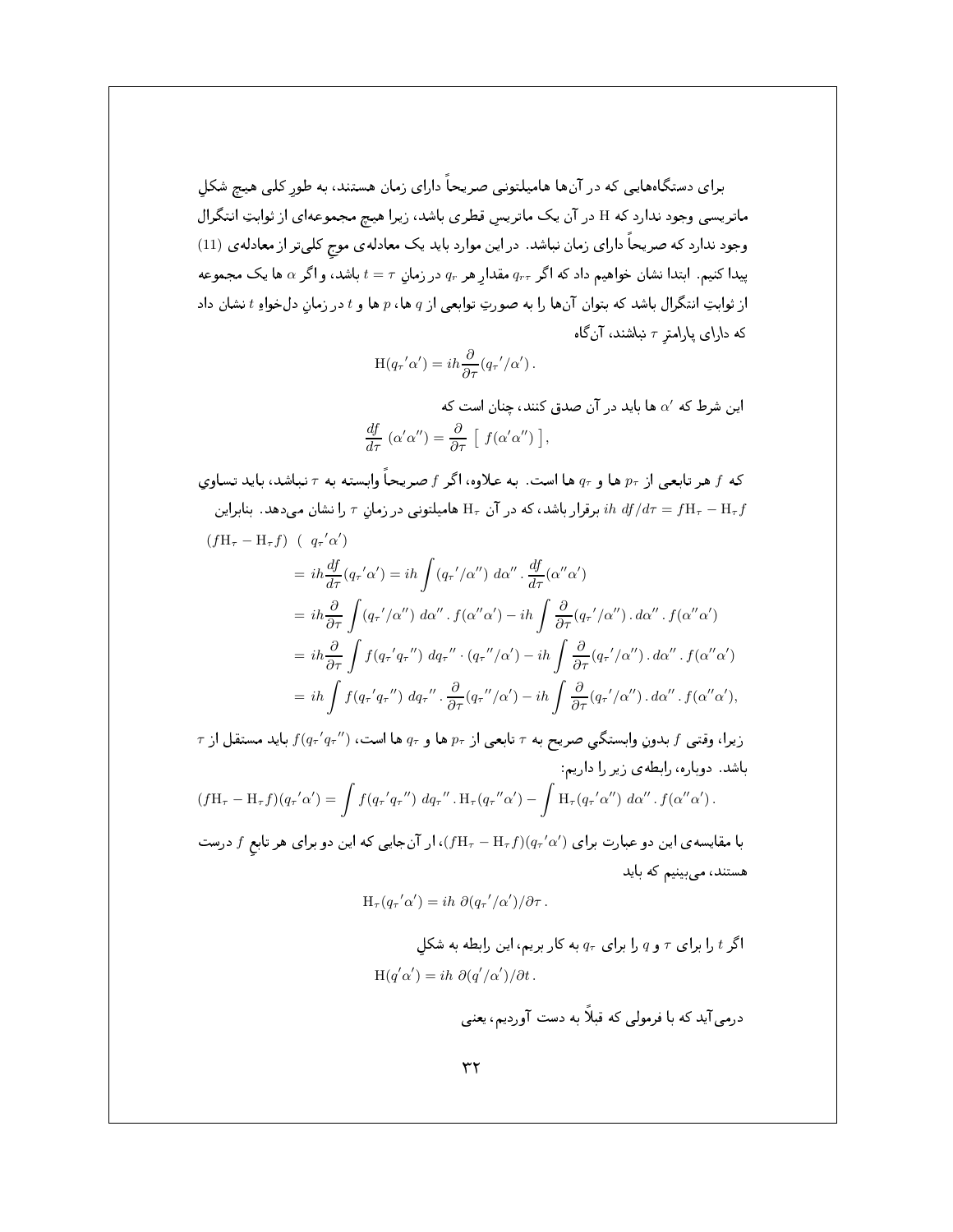برای دستگاههایی که در آنها هامیلتونی صریحا دارای زمان هستند، به طورِ کلی هیچ شکلِ ماتریسی وجود ندارد که H در آن یک ماتریسِ قطری باشد، زیرا هیچ مجموعهای از ثوابتِ انتگرال وجود ندارد که صریحا دارای زمان نباشد. در این موارد باید یک معادلهی موج کلیتر از معادلهی (11) پیدا کنیم. ابتدا نشان خواهیم داد که اگر  $q_{r\tau}$  مقدارِ هر  $q_r$  در زمانِ  $\tau = t$  باشد، و اگر  $\alpha$  ها یک مجموعه از ثوابتِ انتكرال باشد كه بتوان أنها را به صورتِ توابعي از q ها، p ها و t در زمانِ دلخواهِ t نشان داد  $\bm{p}$ ا كه دارای پارامترِ  $\tau$  نباشند، انگاه $\zeta$ 

$$
H(q_{\tau}^{\prime}\alpha^{\prime})=ih\frac{\partial}{\partial\tau}(q_{\tau}^{\prime}/\alpha^{\prime}).
$$

این شرط که  $\alpha'$  ها باید در آن صدق کنند، چنان است که  $\frac{df}{d\tau}(\alpha'\alpha'') = \frac{\partial}{\partial\tau}\left[ f(\alpha'\alpha'')\right],$ 

که  $f$  هر تابعی از  $p_\tau$  ها و  $q_\tau$  ها است. به علاوه، اگر  $f$  صریحاً وابسته به  $\tau$  نباشد، باید تساوی برقرار باشد، که در آن  $\mathrm{H}_\tau$  مامیلتونی در زمانِ  $\tau$  را نشان میدهد. بنابراین  $i\hbar\; df/d\tau = f\mathrm{H}_\tau - \mathrm{H}_\tau f$  $(fH_{\tau}-H_{\tau}f)$  (  $q_{\tau}'\alpha'$ )

$$
= i\hbar \frac{df}{d\tau}(q_{\tau}' \alpha') = i\hbar \int (q_{\tau}'/\alpha'') d\alpha'' \cdot \frac{df}{d\tau}(\alpha'' \alpha')
$$
  
\n
$$
= i\hbar \frac{\partial}{\partial \tau} \int (q_{\tau}'/\alpha'') d\alpha'' \cdot f(\alpha'' \alpha') - i\hbar \int \frac{\partial}{\partial \tau} (q_{\tau}'/\alpha'') \cdot d\alpha'' \cdot f(\alpha'' \alpha')
$$
  
\n
$$
= i\hbar \frac{\partial}{\partial \tau} \int f(q_{\tau}' q_{\tau}'') d q_{\tau}'' \cdot (q_{\tau}''/\alpha') - i\hbar \int \frac{\partial}{\partial \tau} (q_{\tau}'/\alpha'') \cdot d\alpha'' \cdot f(\alpha'' \alpha')
$$
  
\n
$$
= i\hbar \int f(q_{\tau}' q_{\tau}'') d q_{\tau}'' \cdot \frac{\partial}{\partial \tau} (q_{\tau}''/\alpha') - i\hbar \int \frac{\partial}{\partial \tau} (q_{\tau}'/\alpha'') \cdot d\alpha'' \cdot f(\alpha'' \alpha'),
$$

 $\tau$  زيرا، وقتى  $f$  بدونِ وابستكي صريح به  $\tau$  تابعى از  $p_\tau$  ها و  $q_\tau$  ها است،  $f(q_\tau{'}q_\tau{''})$  بايد مستقل از باشد. دوباره، رابطهی زیر را داریم:  $(f{\rm H}_{\tau} - {\rm H}_{\tau}f)(q_{\tau}{\acute\,}}\alpha^{\prime}) = \int f(q_{\tau}{\acute\,}}q_{\tau}{\acute{\,}}\gamma)~dq_{\tau}{\acute{\,}}\gamma.~{\rm H}_{\tau}(q_{\tau}{\acute{\,}}\alpha^{\prime}) - \int {\rm H}_{\tau}(q_{\tau}{\acute{\,}}\alpha^{\prime\prime})~d\alpha^{\prime\prime}~.~f(\alpha^{\prime\prime}\alpha^{\prime})~.$ 

با مقایسه ی این دو عبارت برای  $(q_\tau'\alpha')\,(f{\rm H}_{\tau}-{\rm H}_{\tau}f)(q_\tau'\alpha')$ ، ار آنجایی که این دو برای هر تابع f درست هستند، مے بینیم که باید

$$
H_{\tau}(q_{\tau}' \alpha') = ih \partial (q_{\tau}'/\alpha')/\partial \tau.
$$

اگر 
$$
t
$$
 را برای 7 و 9 را برای 4 $q$  به کار بریم، این رابطه به شکلِ
$$
\mathrm{H}(q'\alpha') = ih\,\,\partial(q'/\alpha')/\partial t\,.
$$

 0 + 4 G -P 4' F& !% 
 4' +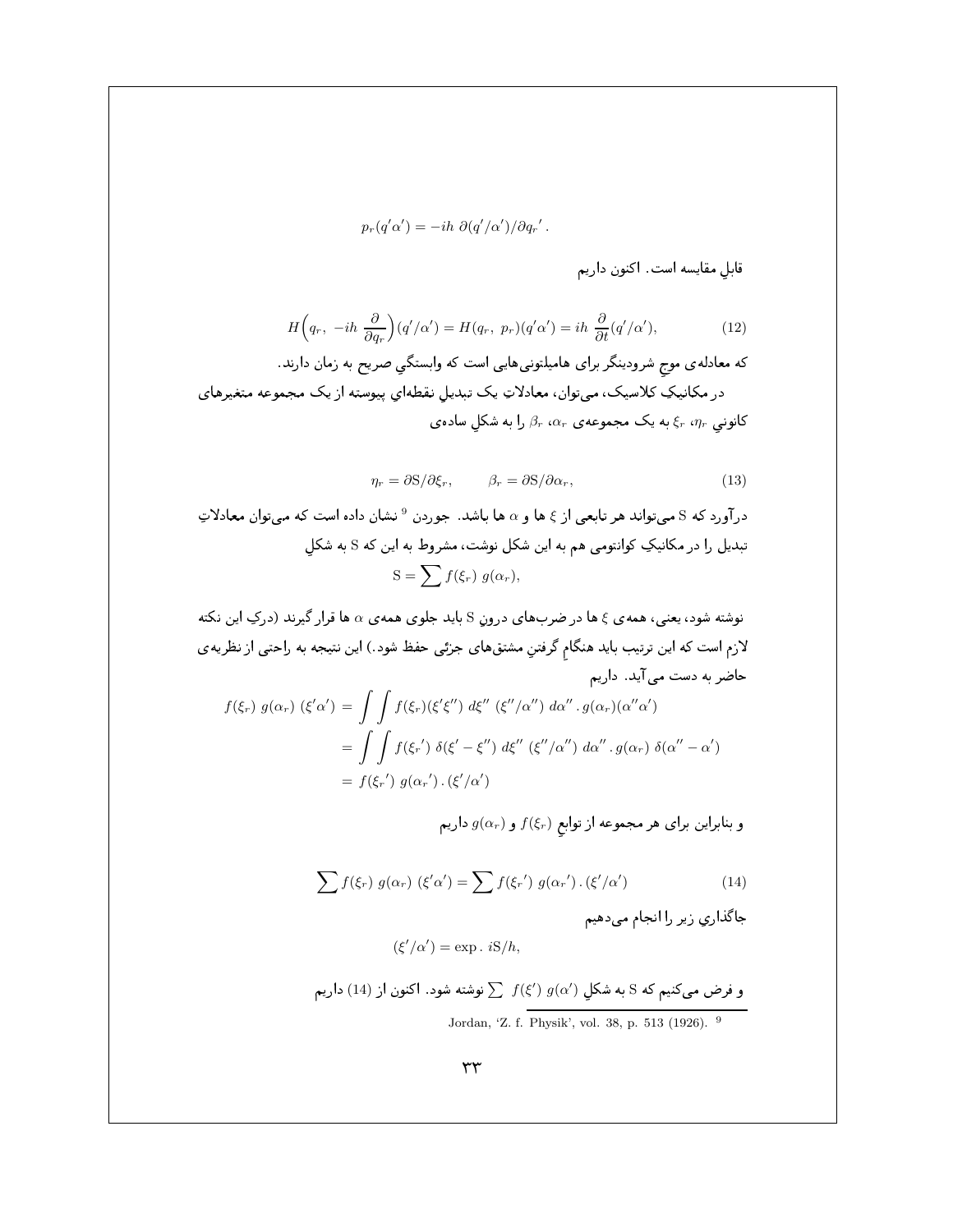$$
p_r(q'\alpha') = -ih \,\,\partial(q'/\alpha')/\partial q_r' \,.
$$

قابل مقایسه است. اکنون داریم

$$
H\left(q_r, -ih\,\frac{\partial}{\partial q_r}\right)(q'/\alpha') = H(q_r, \, p_r)(q'\alpha') = ih\,\frac{\partial}{\partial t}(q'/\alpha'),\tag{12}
$$

که معادلهی موج شرودینگر برای هامیلتونیهایی است که وابستگیِ صریح به زمان دارند. در مکانیکِ کلاسیک، میتوان، معادلاتِ یک تبدیلِ نقطهایِ پیوسته از یک مجموعه متغیرهای کانوني  $\xi_r$  ، $\eta_r$  به یک مجموعه $\beta_r$  ، $\alpha_r$  را به شکلٍ ساده $\zeta_r$ 

$$
\eta_r = \partial S / \partial \xi_r, \qquad \beta_r = \partial S / \partial \alpha_r, \qquad (13)
$$

درآورد که S میتواند هر تابعی از ع ها و a ها باشد. جوردن <sup>9</sup> نشان داده است که میتوان معادلاتِ تبدیل را در مکانیکِ کوانتومی هم به این شکل نوشت، مشروط به این که S به شکلِ  $S = \sum f(\xi_r) g(\alpha_r),$ 

نوشته شود، یعنی، همه $\,\mathfrak{z}\,$  ها در ضربهای درونِ S باید جلوی همه $\,\alpha\,$  ها قرار گیرند (درکِ این نکته لازم است که این ترتیب باید هنگامِ گرفتنِ مشتقهای جزئی حفظ شود .) این نتیجه به راحتی از نظریهی 0 + 4 !L
a

$$
f(\xi_r) g(\alpha_r) (\xi'\alpha') = \int \int f(\xi_r) (\xi'\xi'') d\xi'' (\xi''/\alpha'') d\alpha'' \cdot g(\alpha_r) (\alpha''\alpha')
$$
  
= 
$$
\int \int f(\xi_r') \delta(\xi' - \xi'') d\xi'' (\xi''/\alpha'') d\alpha'' \cdot g(\alpha_r) \delta(\alpha'' - \alpha')
$$
  
= 
$$
f(\xi_r') g(\alpha_r') \cdot (\xi'/\alpha')
$$

و بنابراین برای هر مجموعه از توابع  $f(\xi_r)$  و  $g(\alpha_r)$  داریم

$$
\sum f(\xi_r) g(\alpha_r) (\xi' \alpha') = \sum f(\xi_r') g(\alpha_r') . (\xi'/\alpha')
$$
\n(14)

. رب ربي ريز *د* . اص

$$
(\xi'/\alpha') = \exp . iS/h,
$$

و فرض میکنیم که S به شکلِ (′) 
$$
g(\alpha')
$$
 نوشته شود. اکنون از (14) داریم  
Jordan, 'Z. f. Physik', vol. 38, p. 513 (1926). <sup>9</sup>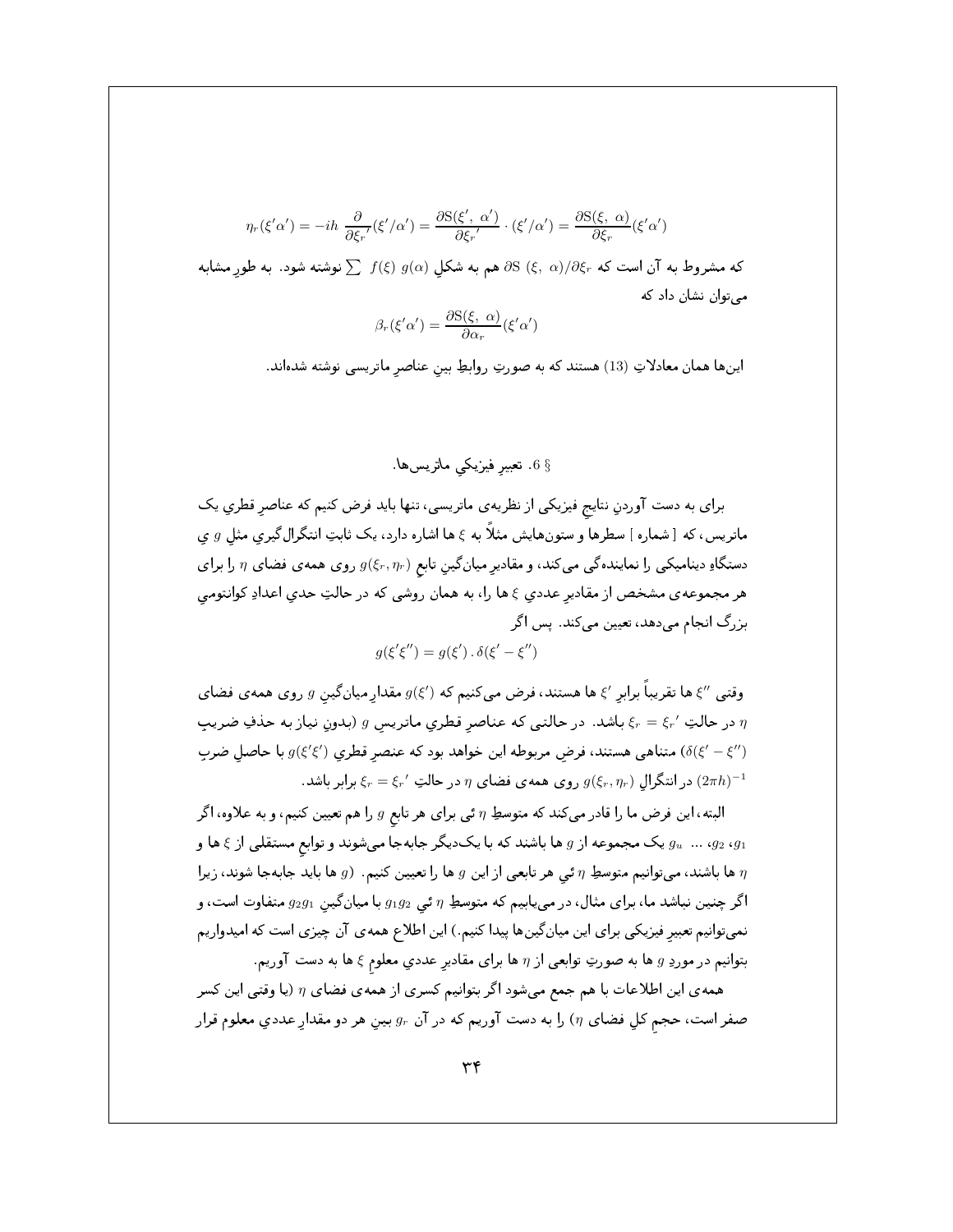$$
\eta_r(\xi'\alpha') = -ih \frac{\partial}{\partial \xi_r'}(\xi'/\alpha') = \frac{\partial S(\xi', \alpha')}{\partial \xi_r'} \cdot (\xi'/\alpha') = \frac{\partial S(\xi, \alpha)}{\partial \xi_r}(\xi'\alpha')
$$

که مشروط به آن است که  $\partial \mathcal{S} \left( \xi, \ \alpha \right) / \partial \xi_r$  هم به شکل  $g(\alpha)$  (§)  $f(\xi) \ g(\alpha)$  نوشته شود. به طور مشابه مے توان نشان داد که

$$
\beta_r(\xi'\alpha') = \frac{\partial S(\xi, \alpha)}{\partial \alpha_r}(\xi'\alpha')
$$

اینها همان معادلاتِ (13) هستند که به صورتِ روابطِ بین عناصر ماتریسی نوشته شدهاند.

$$
\S
$$
6 $\S$ .

برای به دست آوردنِ نتایج فیزیکی از نظریهی ماتریسی، تنها باید فرض کنیم که عناصر قطری یک ماتریس، که [شماره] سطرها و ستونهایش مثلاً به ع ها اشاره دارد، یک ثابتِ انتگرالگیری مثل  $g$  ی دستگاهِ دینامیکی را نمایندهگی میکند، و مقادیر میانگین تابع  $g(\xi_r,\eta_r)$  روی همهی فضای  $\eta$  را برای هر مجموعهى مشخص از مقادير عددي ع ها را، به همان روشي كه در حالتِ حدى اعدادِ كوانتومي بزرگ انجام میدهد، تعیین میکند. پس اگر

$$
g(\xi'\xi'') = g(\xi') \cdot \delta(\xi' - \xi'')
$$

وقتبی  $\ell'$ ها تقریباً برابر  $\zeta$ ها هستند، فرض میکنیم که  $g(\xi')$  مقدار میان گین  $g$  روی همه $\zeta$  فضای در حالتِ  $\xi_r = \xi_r'$  باشد. در حالتی که عناصر قطری ماتریس g (بدون نیاز به حذفِ ضریب  $\eta$ متناهی هستند، فرض مربوطه این خواهد بود که عنصر قطری  $g(\xi'\xi')$  با حاصل ضرب ( $\delta(\xi'-\xi'')$ . در انتگرال  $g(\xi_r,\eta_r)$  روی همهی فضای  $\eta$  در حالتِ  $\xi_r = \xi_r'$  برابر باشد ( $2\pi h)^{-1}$ 

البته، این فرض ما را قادر می کند که متوسطِ  $\eta$  ئی برای هر تابع  $g$  را هم تعیین کنیم، و به علاوه، اگر و یک مجموعه از  $g$  ها باشند که با یک دیگر جابهجا میشوند و توابع مستقلی از ٤ ها و  $g_u$  ...  $g_2$  ،  $g_1$ ها باشند، میتوانیم متوسطِ n ئی هر تابعی از این g ها را تعیین کنیم. (g ها باید جابهجا شوند، زیرا  $\eta$ اگر چنین نباشد ما، برای مثال، در مییابیم که متوسطِ  $\eta$  ئی  $g_1g_2$  با میان گین  $g_2g_1$  متفاوت است، و نمیتوانیم تعبیر فیزیکی برای این میانگینها پیدا کنیم.) این اطلاع همه ی آن چیزی است که امیدواریم بتوانیم در موردِ g ها به صورتِ توابعی از n ها برای مقادیر عددی معلوم ع ها به دست آوریم.

همه ی این اطلاعات با هم جمع میشود اگر بتوانیم کسری از همه ی فضای  $\eta$  (یا وقتی این کسر صفر است، حجم كل فضاي (r) را به دست آوريم كه در آن  $g_r$  بين هر دو مقدار عددي معلوم قرار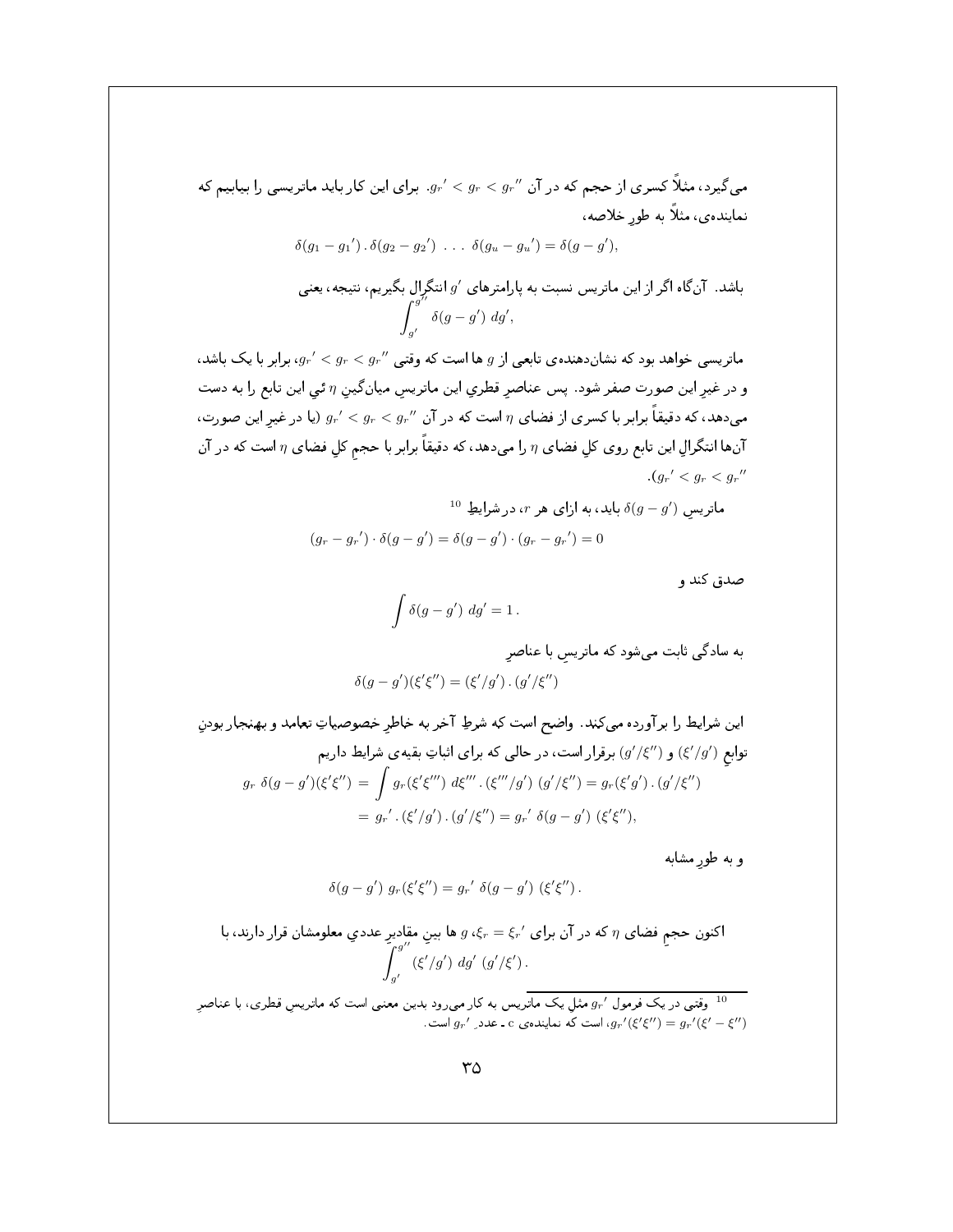می گیرد، مثلاً کسری از حجم که در آن  $g_r < g_r < g_r$ . برای این کار باید ماتریسی را بیابیم که نماينده ي، مثلاً به طور خلاصه،

$$
\delta(g_1 - g_1') \cdot \delta(g_2 - g_2') \cdot \cdot \cdot \delta(g_u - g_u') = \delta(g - g')
$$

باشد. آنگاه اگر از این ماتریس نسبت به پارامترهای '9 انتگرال بگیریم، نتیجه، یعنی  
ا
$$
\int_{g'}^{g''}\delta(g-g')\ dg',
$$

ماتریسی خواهد بود که نشاندهندهی تابعی از g ها است که وقتبی  $g_r' < g_r < g_r'$ ، برابر با یک باشد، و در غیر این صورت صفر شود. پس عناصر قطری این ماتریس میانگین  $\eta$  ئی این تابع را به دست میدهد، که دقیقاً برابر با کسری از فضای  $\eta$  است که در آن  $g_r < g_r < g_r$  (یا در غیر این صورت، آنها انتگرال این تابع روی کل فضای  $\eta$  را میدهد، که دقیقاً برابر با حجم کلِ فضای  $\eta$  است که در آن  $(q_r' < q_r < q_r'')$ 

$$
^{10}
$$
ماتریسی (g $g - g'$ )
$$
(g_r - g_r') \cdot \delta(g - g') = \delta(g - g') \cdot (g_r - g_r') = 0
$$

صدق کند و

$$
\int \delta(g - g') \, dg' = 1 \, .
$$

به سادگی ثابت می شود که ماتریس با عناصر

$$
\delta(g-g')(\xi'\xi'') = (\xi'/g')\,.\,(g'/\xi'')
$$

اين شرايط را برآورده مي كند. واضح است كه شرطِ آخر به خاطر خصوصياتِ تعامد و بهنجار بودنِ توابع (٤//٤) و (//٤) برقرار است، در حالی که برای اثباتِ بقیهی شرایط داریم  $g_r \delta(g - g')(\xi'\xi'') = \int g_r(\xi'\xi''') d\xi''' \, . (\xi'''/g') (g'/\xi'') = g_r(\xi'g') . (g'/\xi'')$ =  $g_r'$ .  $(\xi'/g')$ .  $(g'/\xi'') = g_r' \delta(g - g') (\xi'\xi'')$ ,

وبه طور مشابه

$$
\delta(g - g') g_r(\xi'\xi'') = g_r' \delta(g - g') (\xi'\xi'') .
$$

اکنون حجمِ فضای 7 که در آن برای 
$$
g \cdot \xi_r = \xi_r'
$$
 ها بینِ مقادیرِ عددیِ معلومشان قرار دارند، با
$$
\int_{g'}^{g''} (\xi'/g') \ dg' (g'/\xi').
$$

وقتبی در یک فرمول  $g_r$  مثل یک ماتریس به کار می رود بدین معنبی است که ماتریس قطری، با عناصر  $^{10}$ است که نماینده ی - عدد  $g_{r'}(g'g'') = g_{r'}(g' - g'')$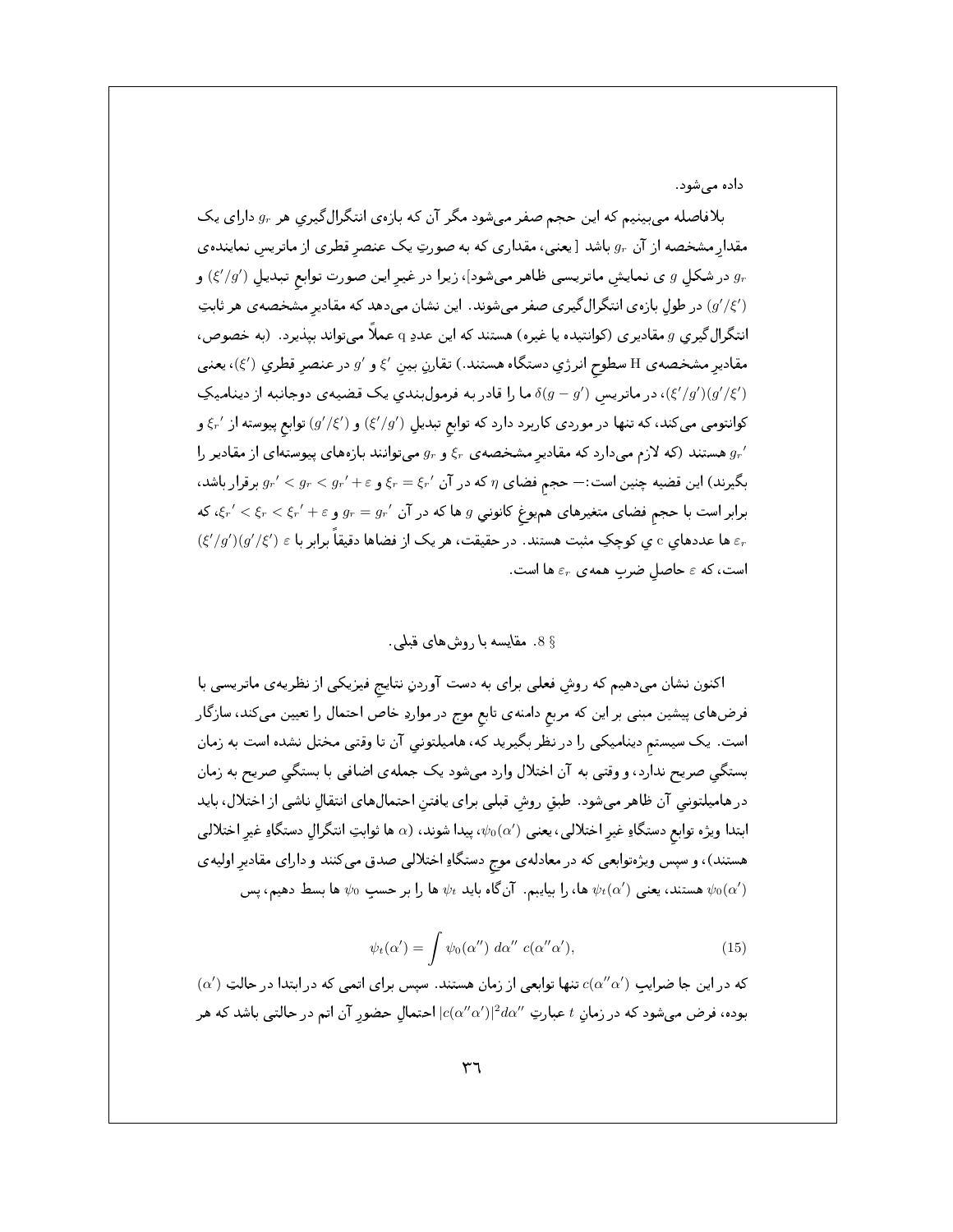داده می شود .

بلافاصله میبینیم که این حجم صفر میشود مگر آن که بازهی انتگرال گیریِ هر  $g_r$  دارای یک مقدار مشخصه از آن  $g_r$  باشد [يعنيي، مقداري كه به صورتِ يک عنصر قطري از ماتريس نمايندهي در شکل  $g$  ی نمایش ماتریسی ظاهر میشود]، زیرا در غیر این صورت توابع تبدیل  $(g^{\prime }/g^{\prime })$ ) و  $g_r$ (/g'/٤) در طول بازهی انتگرال گیری صفر میشوند. این نشان می دهد که مقادیر مشخصهی هر ثابتِ انتگرال $\frac{1}{2}$ یری  $g$  مقادیری (کوانتیده یا غیره) هستند که این عددِ q عملاً میتواند بیذیرد. (به خصوص، مقادیر مشخصه ی H سطوح انرژی دستگاه هستند.) تقارن بین ٤٪ و 6٪ در عنصر قطری (٤٪)، یعنی ، در ماتریس ( $\delta(g-g')$  ما را قادر به فرمولبندی یک قضیهی دوجانبه از دینامیک ( $\xi'/g')(g'/\xi')$ کوانتومی میکند، که تنها در موردی کاربرد دارد که توابع تبدیل  $(\xi'/g')$ ) و  $(g'/\xi)$  توابع پیوسته از ⁄ ع و هستند (که لازم میدارد که مقادیر مشخصه ی  $\xi_r$  و  $g_r$  میتوانند بازههای پیوستهای از مقادیر را  $g_r{}'$ بگیرند) این قضیه چنین است:— حجم فضای  $\eta$  که در آن  $\xi_r = \xi_r' + \xi_r < g_r' < g_r' < g_r$  برقرار باشد،  $\zeta_r'<\xi_r<\xi_r'+\varepsilon$  برابر است با حجم فضای متغیرهای هم $g$  هم کانونی  $g$  ها که در آن  $g_r=g_r'\leq \xi_r'+\zeta_r$ ، که ها عددهای c ی کوچکِ مثبت هستند. در حقیقت، هر یک از فضاها دقیقاً برابر با $\varepsilon\in(\xi'/g')(g'/\xi')$ ) است، که  $\varepsilon$  حاصل ضرب همهی  $\varepsilon_r$  ها است.

§ 8. مقایسه با روشهای قبلمی

اکنون نشان میدهیم که روش فعلی برای به دست آوردنِ نتایج فیزیکی از نظریهی ماتریسی با فرضهای پیشین مبنی بر این که مربع دامنهی تابع موج در مواردِ خاص احتمال را تعیین میکند، سازگار است. یک سیستم دینامیکی را در نظر بگیرید که، هامیلتونی آن تا وقتی مختل نشده است به زمان بستگی صریح ندارد، و وقتی به آن اختلال وارد میشود یک جمله ی اضافی با بستگی صریح به زمان در هامیلتونی آن ظاهر میشود. طبق روش قبلی برای یافتن احتمال های انتقال ناشی از اختلال، باید ابتدا ویژه توابع دستگاهِ غیر اختلالی، یعنی  $\psi_0(\alpha')$ ، پیدا شوند، (a ها ثوابتِ انتگرالِ دستگاهِ غیر اختلالی هستند)، و سپس ویژهتوابعی که در معادله ی موج دستگاهِ اختلالی صدق میکنند و دارای مقادیر اولیه ی هستند، یعنی  $\psi_t(\alpha')$  ها، را بیایبم. آنگاه باید  $\psi_t$  ها را بر حسبِ  $\psi_0$  ها بسط دهیم، پس  $\psi_0(\alpha')$ 

$$
\psi_t(\alpha') = \int \psi_0(\alpha'') \, d\alpha'' \, c(\alpha''\alpha'), \tag{15}
$$

 $\alpha'$ که در این جا ضرایب  $c(\alpha''\alpha')$  تنها توابعی از زمان هستند. سپس برای اتمی که در ابتدا در حالتِ  $\alpha'$ بوده، فرض میشود که در زمان t عبارتِ  $d\alpha''$ ا $|c(\alpha''\alpha')|^2d\alpha''$  احتمال حضور آن اتم در حالتی باشد که هر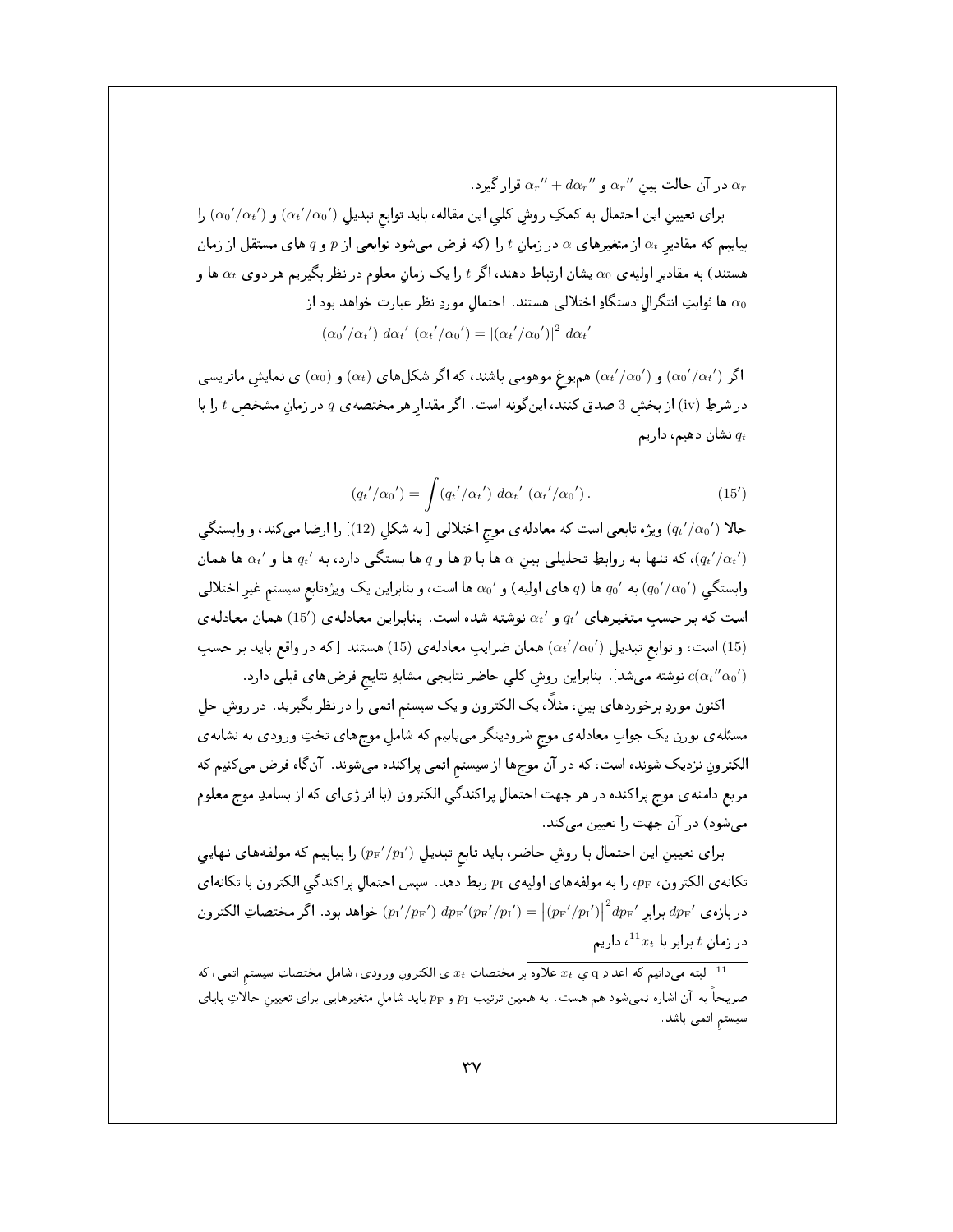در آن حالت بین  $\alpha_r''$  و  $\alpha_r''+d\alpha_r''$  قرار گیرد .

 $(\alpha _0{'}/\alpha _t{'})$  برای تعیینِ این احتمال به کمکِ روشِ کلی این مقاله، باید توابع تبدیلِ  $(\alpha _t{'}/\alpha _0{'})$  و  $(\alpha _b{'}/\alpha _t{'})$  را بیایبم که مقادیر  $\alpha_t$  از متغیرهای  $\alpha$  در زمان  $t$  را (که فرض میشود توابعی از  $p$  و  $q$  های مستقل از زمان هستند) به مقادیر اولیه ی ۵۵ یشان ارتباط دهند، اگر t را یک زمانِ معلوم در نظر بگیریم هر دوی  $\alpha_t$  ها و ها ثوابتِ انتگرال دستگاهِ اختلالی هستند. احتمال موردِ نظر عبارت خواهد بود از  $\alpha_0$  $(\alpha_0'/\alpha_t') d\alpha_t' (\alpha_t'/\alpha_0') = |(\alpha_t'/\alpha_0')|^2 d\alpha_t'$ 

اگر ( $\alpha_0{'}/\alpha_0{'}$ ) و ( $\alpha_t{'}$ / $\alpha_t$ ) همیوغ موهومی باشند، که اگر شکلهای  $(\alpha_t)$ ) و  $(\alpha_0{'}/\alpha_0{'})$  مهایشِ ماتریسی در شرطِ (iv) از بخش 3 صدق کنند، اینگونه است. اگر مقدار هر مختصه ی q در زمانِ مشخص t را با نشان دهیم، داریم  $q_t$ 

$$
(q_t'/\alpha_0') = \int (q_t'/\alpha_t') d\alpha_t' (\alpha_t'/\alpha_0').
$$
 (15')

حالا (4t′/ao′) ویژه تابعی است که معادلهی موج اختلالی [به شکل (12)] را ارضا میکند، و وابستگی ، که تنها به روابطِ تحلیلی بین  $\alpha$  ها با  $p$  ها و  $q$  ها بستگی دارد، به  $q_t'$  ها و  $\alpha_t'$  ها همان  $(q_t'/\alpha_t')$ وابستگی  $(q_0'/\alpha_0')$  به  $q_0$  ها  $q$  های اولیه) و ' $\alpha_0$  ها است، و بنابراین یک ویژهتابع سیستم غیر اختلالی است که بر حسبِ متغیرهای  $q_t'$  و  $q_t'$  نوشته شده است. بنابراین معادلهی (15٪) همان معادلهی است، و توابع تبدیل  $(\alpha_{t}{}'/\alpha_{0}{}')$  همان ضرایبِ معادلهی (15) هستند [که در واقع باید بر حسبِ (15) ، نوشته میشد] از بنابراین روش کلی حاضر نتایجی مشابهِ نتایج فرضهای قبلی دارد  $c(\alpha_t''\alpha_0')$ 

اکنون موردِ برخوردهای بین، مثلاً، یک الکترون و یک سیستم اتمی را در نظر بگیرید. در روشِ حلِ مسئله ی بورن یک جوابِ معادله ی موج شرودینگر مییابیم که شاملِ موجهای تختِ ورودی به نشانه ی الکترونِ نزدیک شونده است، که در آن موجها از سیستم اتمی پراکنده میشوند. آنگاه فرض میکنیم که مربع دامنهي موج پراکنده در هر جهت احتمالِ پراکندگي الکترون (با انرژياي که از بسامدِ موج معلوم می،شود) در آن جهت را تعیین می کند.

برای تعییمنِ این احتمال با روشِ حاضر، باید تابع تبدیلِ  $p_{\rm F}{}'/p_{\rm f}$ ) را بیابیم که مولفههای نهایی تكانهى الكترون، pF، را به مولفههاى اوليهى p1 ربط دهد. سپس احتمالِ پراكندگى الكترون با تكانهاى در بازه ی  $d p_{\rm F}$  برابر  $\left( p_{\rm F}/p_{\rm F}\right)$   $d p_{\rm F} / (p_{\rm F}/p_{\rm F})$  خواهد بود . اگر مختصاتِ الكترون  $t$  در زمان  $t$  برابر با  $x_t$ ا، داریم

البته می دانیم که اعدادِ q ی  $x_t$  علاوه بر مختصاتِ  $x_t$ ی الکترونِ ورودی، شامل مختصاتِ سیستم اتمی، که  $^{-11}$ صریحاً به آن اشاره نمیشود هم هست. به همین ترتیب  $p_{\rm F}$  و  $p_{\rm F}$  باید شاملِ متغیرهایی برای تعیینِ حالاتِ پایای سیستم اتمی باشد.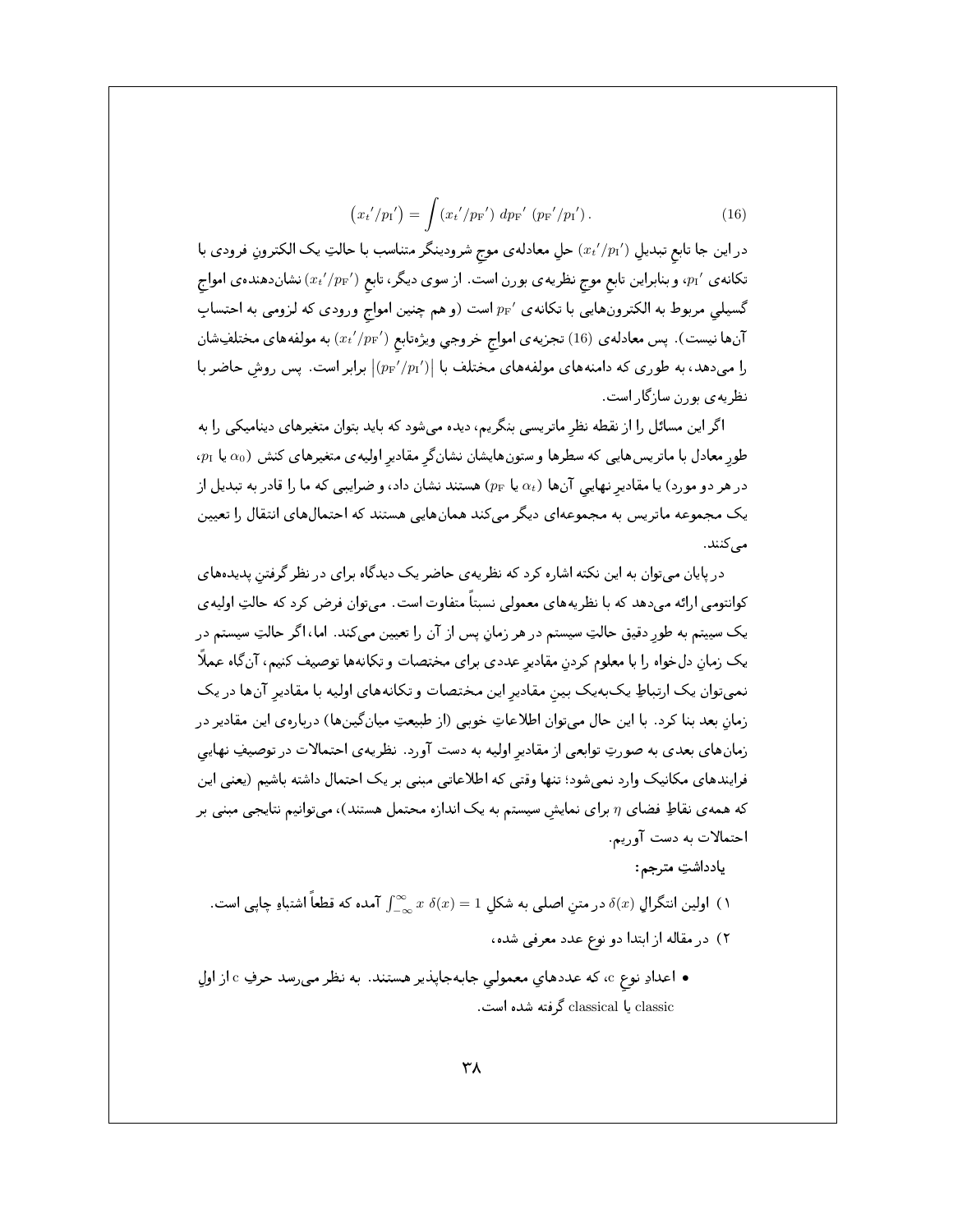$$
(x_{t'}/p_{I'}) = \int (x_{t'}/p_{F'}) \, dp_{F'} \, (p_{F'}/p_{I'}'). \tag{16}
$$

در این جا تابع تبدیل  $(x_t'/p_1')$  حل معادلهی موج شرودینگر متناسب با حالتِ یک الکترونِ فرودی با تکانه ی  $p_{\rm I}$ ، و بنابراین تابع موج نظریه ی بورن است. از سوی دیگر، تابع  $(x_t'/p_{\rm F}^{\prime})$  نشاندهنده ی امواج گسیلی مربوط به الکترونهایی با تکانهی ' $p_{\rm F}$  است (و هم چنین امواج ورودی که لزومی به احتسابِ آنها نیست). پس معادلهی (16) تجزیهی امواج خروجی ویژهتابع  $(x_t'/p_{\rm F}^{\,\prime})$  به مولفههای مختلفِشان را میدهد، به طوری که دامنههای مولفههای مختلف با  $|(p_{\rm F}^{\, \prime}/p_{\rm I}^{\, \prime})|$  برابر است. پس روش حاضر با نظریه ی بورن سازگار است.

اگر این مسائل را از نقطه نظر ماتریسی بنگریم، دیده می شود که باید بتوان متغیرهای دینامیکی را به  $\alpha_0$ طور معادل با ماتریسهایی که سطرها و ستونهایشان نشانگر مقادیر اولیهی متغیرهای کنش ( $\alpha_0$  یا  $p_{\rm I}$ در هر دو مورد) یا مقادیر نهایی آنها  $\alpha_t$  یا  $p_{\rm F}$ ) هستند نشان داد، و ضرایبی که ما را قادر به تبدیل از یک مجموعه ماتریس به مجموعهای دیگر میکند همانهایی هستند که احتمالهای انتقال را تعیین مے کنند.

در پایان میتوان به این نکته اشاره کرد که نظریه ی حاضر یک دیدگاه برای در نظر گرفتن پدیدههای کوانتومی ارائه میدهد که با نظریههای معمولی نسبتاً متفاوت است. میتوان فرض کرد که حالتِ اولیهی یک سیپتم به طور دقیق حالتِ سیستم در هر زمان پس از آن را تعیین میکند. اما، اگر حالتِ سیستم در یک زمان دلخواه را با معلوم کردن مقادیر عددی برای مختصات و تکانهها توصیف کنیم، آن گاه عملاً نمهیتوان یک ارتباطِ یکبهیک بین مقادیر این مختصات و تکانههای اولیه با مقادیر آنها در یک زمان بعد بنا کرد . با این حال میتوان اطلاعاتِ خوبی (از طبیعتِ میانگینِها) دربارهی این مقادیر در زمانهای بعدی به صورتِ توابعی از مقادیر اولیه به دست آورد. نظریهی احتمالات در توصیفِ نهایی فرایندهای مکانیک وارد نمیشود؛ تنها وقتی که اطلاعاتی مبنی بر یک احتمال داشته باشیم (یعنی این که همه ی نقاطِ فضای n برای نمایش سیستم به یک اندازه محتمل هستند)، میتوانیم نتایجی مبنی بر احتمالات به دست آوریم.

- يادداشتِ مترجم:
- ا) اولین انتگرال  $\delta(x)$  در متن اصلی به شکل  $\int_{-\infty}^{\infty}x\;\delta(x)=\int_{-\infty}^{\infty}x\;\delta(x)$  آمده که قطعاً اشتباءِ چاپی است.
	- ۲) در مقاله از ابتدا دو نوع عدد معرفی شده،
- اعدادِ نوع c، كه عددهاي معمولى جابهجاپذير هستند. به نظر مى رسد حرفِ c از اول classic یا classical گرفته شده است.